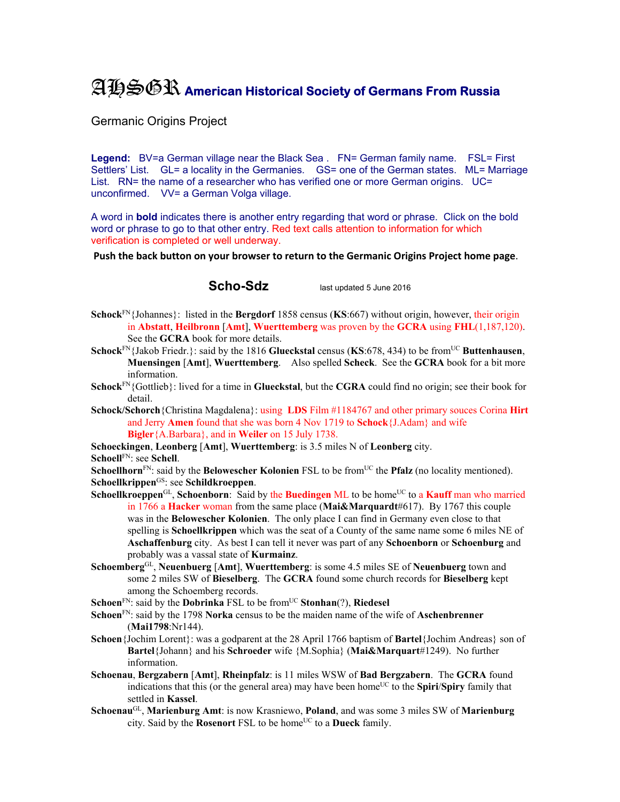## AHSGR **American Historical Society of Germans From Russia**

Germanic Origins Project

Legend: BV=a German village near the Black Sea . FN= German family name. FSL= First Settlers' List. GL= a locality in the Germanies. GS= one of the German states. ML= Marriage List. RN= the name of a researcher who has verified one or more German origins. UC= unconfirmed. VV= a German Volga village.

A word in **bold** indicates there is another entry regarding that word or phrase. Click on the bold word or phrase to go to that other entry. Red text calls attention to information for which verification is completed or well underway.

**Push the back button on your browser to return to the Germanic Origins Project home page**.

**Scho-Sdz** last updated 5 June 2016

- **Schock**FN{Johannes}: listed in the **Bergdorf** 1858 census (**KS**:667) without origin, however, their origin in **Abstatt**, **Heilbronn** [**Amt**], **Wuerttemberg** was proven by the **GCRA** using **FHL**(1,187,120). See the **GCRA** book for more details.
- **Schock**<sup>FN</sup>{Jakob Friedr.}: said by the 1816 **Glueckstal** census (**KS**:678, 434) to be from<sup>UC</sup> Buttenhausen, **Muensingen** [**Amt**], **Wuerttemberg**. Also spelled **Scheck**. See the **GCRA** book for a bit more information.
- **Schock**FN{Gottlieb}: lived for a time in **Glueckstal**, but the **CGRA** could find no origin; see their book for detail.
- **Schock/Schorch**{Christina Magdalena}: using **LDS** Film #1184767 and other primary souces Corina **Hirt**  and Jerry **Amen** found that she was born 4 Nov 1719 to **Schock**{J.Adam} and wife **Bigler**{A.Barbara}, and in **Weiler** on 15 July 1738.

**Schoeckingen**, **Leonberg** [**Amt**], **Wuerttemberg**: is 3.5 miles N of **Leonberg** city. **Schoell**FN: see **Schell**.

**Schoellhorn**<sup>FN</sup>: said by the **Belowescher Kolonien** FSL to be from<sup>UC</sup> the **Pfalz** (no locality mentioned). **Schoellkrippen**GS: see **Schildkroeppen**.

- **Schoellkroeppen**<sup>GL</sup>, Schoenborn: Said by the **Buedingen** ML to be home<sup>UC</sup> to a **Kauff** man who married in 1766 a **Hacker** woman from the same place (**Mai&Marquardt**#617). By 1767 this couple was in the **Belowescher Kolonien**. The only place I can find in Germany even close to that spelling is **Schoellkrippen** which was the seat of a County of the same name some 6 miles NE of **Aschaffenburg** city. As best I can tell it never was part of any **Schoenborn** or **Schoenburg** and probably was a vassal state of **Kurmainz**.
- **Schoemberg**GL, **Neuenbuerg** [**Amt**], **Wuerttemberg**: is some 4.5 miles SE of **Neuenbuerg** town and some 2 miles SW of **Bieselberg**. The **GCRA** found some church records for **Bieselberg** kept among the Schoemberg records.
- **Schoen**<sup>FN</sup>: said by the **Dobrinka** FSL to be from<sup>UC</sup> **Stonhan**(?), **Riedesel**
- **Schoen**FN: said by the 1798 **Norka** census to be the maiden name of the wife of **Aschenbrenner** (**Mai1798**:Nr144).
- **Schoen**{Jochim Lorent}: was a godparent at the 28 April 1766 baptism of **Bartel**{Jochim Andreas} son of **Bartel**{Johann} and his **Schroeder** wife {M.Sophia} (**Mai&Marquart**#1249). No further information.
- **Schoenau**, **Bergzabern** [**Amt**], **Rheinpfalz**: is 11 miles WSW of **Bad Bergzabern**. The **GCRA** found indications that this (or the general area) may have been home<sup>UC</sup> to the **Spiri**/**Spiry** family that settled in **Kassel**.
- **Schoenau**GL, **Marienburg Amt**: is now Krasniewo, **Poland**, and was some 3 miles SW of **Marienburg** city. Said by the **Rosenort** FSL to be home<sup>UC</sup> to a **Dueck** family.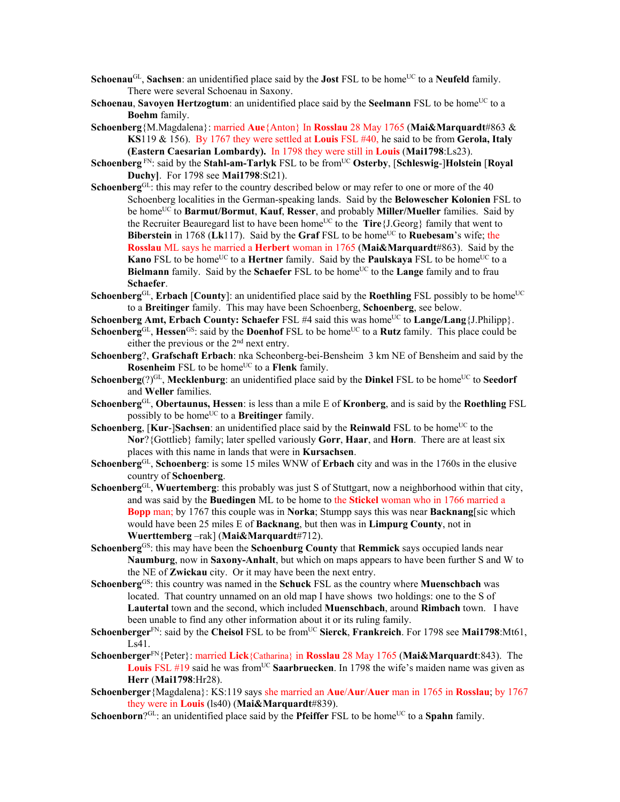- **Schoenau<sup>GL</sup>, Sachsen**: an unidentified place said by the **Jost** FSL to be home<sup>UC</sup> to a **Neufeld** family. There were several Schoenau in Saxony.
- **Schoenau, Savoyen Hertzogtum**: an unidentified place said by the **Seelmann** FSL to be home<sup>UC</sup> to a **Boehm** family.
- **Schoenberg**{M.Magdalena}: married **Aue**{Anton} In **Rosslau** 28 May 1765 (**Mai&Marquardt**#863 & **KS**119 & 156). By 1767 they were settled at **Louis** FSL #40, he said to be from **Gerola, Italy (Eastern Caesarian Lombardy).** In 1798 they were still in **Louis** (**Mai1798**:Ls23).
- **Schoenberg**  $F_N$ : said by the **Stahl-am-Tarlyk** FSL to be from<sup>UC</sup> Osterby, [Schleswig-]Holstein [Royal **Duchy]**. For 1798 see **Mai1798**:St21).
- Schoenberg<sup>GL</sup>: this may refer to the country described below or may refer to one or more of the 40 Schoenberg localities in the German-speaking lands. Said by the **Belowescher Kolonien** FSL to be homeUC to **Barmut/Bormut**, **Kauf**, **Resser**, and probably **Miller/Mueller** families. Said by the Recruiter Beauregard list to have been home<sup>UC</sup> to the **Tire**{J.Georg} family that went to **Biberstein** in 1768 (Lk117). Said by the Graf FSL to be home<sup>UC</sup> to **Ruebesam**'s wife; the **Rosslau** ML says he married a **Herbert** woman in 1765 (**Mai&Marquardt**#863). Said by the **Kano** FSL to be home<sup>UC</sup> to a **Hertner** family. Said by the **Paulskaya** FSL to be home<sup>UC</sup> to a **Bielmann** family. Said by the **Schaefer** FSL to be home<sup>UC</sup> to the **Lange** family and to frau **Schaefer**.
- **Schoenberg**GL, **Erbach** [**County**]: an unidentified place said by the **Roethling** FSL possibly to be home<sup>UC</sup> to a **Breitinger** family. This may have been Schoenberg, **Schoenberg**, see below.
- **Schoenberg Amt, Erbach County: Schaefer** FSL #4 said this was home<sup>UC</sup> to **Lange/Lang**{J.Philipp}.
- **Schoenberg**GL, **Hessen**<sup>GS</sup>: said by the **Doenhof** FSL to be home<sup>UC</sup> to a **Rutz** family. This place could be either the previous or the 2<sup>nd</sup> next entry.
- **Schoenberg**?, **Grafschaft Erbach**: nka Scheonberg-bei-Bensheim 3 km NE of Bensheim and said by the **Rosenheim** FSL to be home<sup>UC</sup> to a **Flenk** family.
- **Schoenberg** $(?)^{GL}$ , **Mecklenburg**: an unidentified place said by the **Dinkel** FSL to be home<sup>UC</sup> to **Seedorf** and **Weller** families.
- **Schoenberg**GL, **Obertaunus, Hessen**: is less than a mile E of **Kronberg**, and is said by the **Roethling** FSL possibly to be home<sup>UC</sup> to a **Breitinger** family.
- **Schoenberg**,  $[Kur$ -**]Sachsen**: an unidentified place said by the **Reinwald** FSL to be home<sup>UC</sup> to the **Nor**?{Gottlieb} family; later spelled variously **Gorr**, **Haar**, and **Horn**. There are at least six places with this name in lands that were in **Kursachsen**.
- **Schoenberg**GL, **Schoenberg**: is some 15 miles WNW of **Erbach** city and was in the 1760s in the elusive country of **Schoenberg**.
- **Schoenberg**GL, **Wuertemberg**: this probably was just S of Stuttgart, now a neighborhood within that city, and was said by the **Buedingen** ML to be home to the **Stickel** woman who in 1766 married a **Bopp** man; by 1767 this couple was in **Norka**; Stumpp says this was near **Backnang**[sic which would have been 25 miles E of **Backnang**, but then was in **Limpurg County**, not in **Wuerttemberg** –rak] (**Mai&Marquardt**#712).
- **Schoenberg**GS: this may have been the **Schoenburg County** that **Remmick** says occupied lands near **Naumburg**, now in **Saxony-Anhalt**, but which on maps appears to have been further S and W to the NE of **Zwickau** city. Or it may have been the next entry.
- **Schoenberg**GS: this country was named in the **Schuck** FSL as the country where **Muenschbach** was located. That country unnamed on an old map I have shows two holdings: one to the S of **Lautertal** town and the second, which included **Muenschbach**, around **Rimbach** town. I have been unable to find any other information about it or its ruling family.
- **Schoenberger**FN: said by the **Cheisol** FSL to be fromUC **Sierck**, **Frankreich**. For 1798 see **Mai1798**:Mt61, Ls41.
- **Schoenberger**FN{Peter}: married **Lick**{Catharina} in **Rosslau** 28 May 1765 (**Mai&Marquardt**:843). The **Louis** FSL #19 said he was from<sup>UC</sup> Saarbruecken. In 1798 the wife's maiden name was given as **Herr** (**Mai1798**:Hr28).
- **Schoenberger**{Magdalena}: KS:119 says she married an **Aue**/**Aur**/**Auer** man in 1765 in **Rosslau**; by 1767 they were in **Louis** (ls40) (**Mai&Marquardt**#839).
- **Schoenborn**?<sup>GL</sup>: an unidentified place said by the **Pfeiffer** FSL to be home<sup>UC</sup> to a **Spahn** family.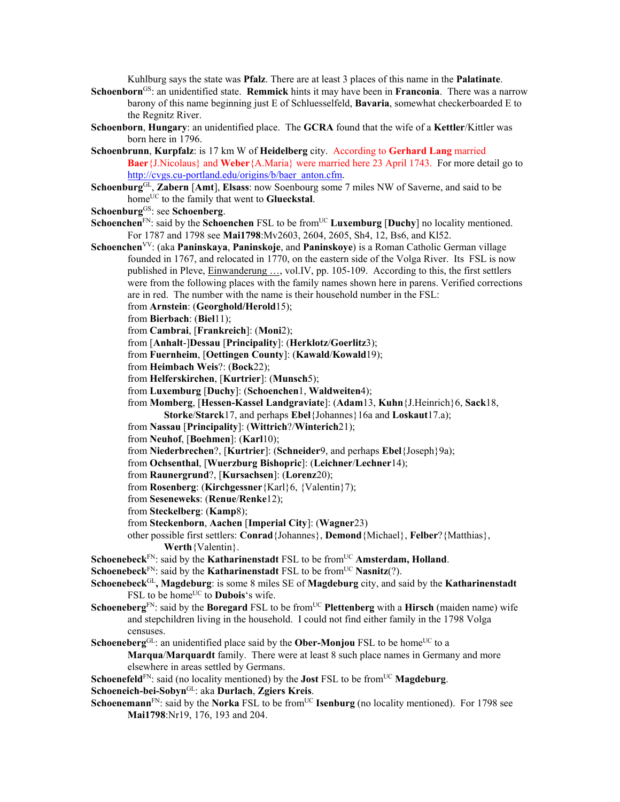Kuhlburg says the state was **Pfalz**. There are at least 3 places of this name in the **Palatinate**.

- **Schoenborn**GS: an unidentified state. **Remmick** hints it may have been in **Franconia**. There was a narrow barony of this name beginning just E of Schluesselfeld, **Bavaria**, somewhat checkerboarded E to the Regnitz River.
- **Schoenborn**, **Hungary**: an unidentified place. The **GCRA** found that the wife of a **Kettler**/Kittler was born here in 1796.
- **Schoenbrunn**, **Kurpfalz**: is 17 km W of **Heidelberg** city. According to **Gerhard Lang** married **Baer**{J.Nicolaus} and **Weber**{A.Maria} were married here 23 April 1743. For more detail go to http://cvgs.cu-portland.edu/origins/b/baer\_anton.cfm.
- **Schoenburg**GL, **Zabern** [**Amt**], **Elsass**: now Soenbourg some 7 miles NW of Saverne, and said to be home<sup>UC</sup> to the family that went to **Glueckstal**.
- **Schoenburg**GS: see **Schoenberg**.
- **Schoenchen**<sup>FN</sup>: said by the **Schoenchen** FSL to be from<sup>UC</sup> **Luxemburg** [Duchy] no locality mentioned. For 1787 and 1798 see **Mai1798**:Mv2603, 2604, 2605, Sh4, 12, Bs6, and Kl52.
- **Schoenchen**VV: (aka **Paninskaya**, **Paninskoje**, and **Paninskoye**) is a Roman Catholic German village founded in 1767, and relocated in 1770, on the eastern side of the Volga River. Its FSL is now published in Pleve, Einwanderung …, vol.IV, pp. 105-109. According to this, the first settlers were from the following places with the family names shown here in parens. Verified corrections are in red. The number with the name is their household number in the FSL:
	- from **Arnstein**: (**Georghold/Herold**15);
	- from **Bierbach**: (**Biel**11);
	- from **Cambrai**, [**Frankreich**]: (**Moni**2);
	- from [**Anhalt**-]**Dessau** [**Principality**]: (**Herklotz**/**Goerlitz**3);
	- from **Fuernheim**, [**Oettingen County**]: (**Kawald**/**Kowald**19);
	- from **Heimbach Weis**?: (**Bock**22);
	- from **Helferskirchen**, [**Kurtrier**]: (**Munsch**5);
	- from **Luxemburg** [**Duchy**]: (**Schoenchen**1, **Waldweiten**4);

from **Momberg**, [**Hessen-Kassel Landgraviate**]: (**Adam**13, **Kuhn**{J.Heinrich}6, **Sack**18,

**Storke**/**Starck**17, and perhaps **Ebel**{Johannes}16a and **Loskaut**17.a);

from **Nassau** [**Principality**]: (**Wittrich**?/**Winterich**21);

- from **Neuhof**, [**Boehmen**]: (**Karl**10);
- from **Niederbrechen**?, [**Kurtrier**]: (**Schneider**9, and perhaps **Ebel**{Joseph}9a);
- from **Ochsenthal**, [**Wuerzburg Bishopric**]: (**Leichner**/**Lechner**14);
- from **Raunergrund**?, [**Kursachsen**]: (**Lorenz**20);
- from **Rosenberg**: (**Kirchgessner**{Karl}6, {Valentin}7);
- from **Seseneweks**: (**Renue**/**Renke**12);
- from **Steckelberg**: (**Kamp**8);
- from **Steckenborn**, **Aachen** [**Imperial City**]: (**Wagner**23)
- other possible first settlers: **Conrad**{Johannes}, **Demond**{Michael}, **Felber**?{Matthias}, **Werth**{Valentin}.
- **Schoenebeck**<sup>FN</sup>: said by the **Katharinenstadt** FSL to be from<sup>UC</sup> **Amsterdam, Holland**.
- **Schoenebeck**<sup>FN</sup>: said by the **Katharinenstadt** FSL to be from<sup>UC</sup> **Nasnitz**(?).
- **Schoenebeck**GL**, Magdeburg**: is some 8 miles SE of **Magdeburg** city, and said by the **Katharinenstadt** FSL to be home<sup>UC</sup> to **Dubois**'s wife.
- **Schoeneberg**<sup>FN</sup>: said by the **Boregard** FSL to be from<sup>UC</sup> **Plettenberg** with a **Hirsch** (maiden name) wife and stepchildren living in the household. I could not find either family in the 1798 Volga censuses.
- **Schoeneberg**<sup>GL</sup>: an unidentified place said by the **Ober-Monjou** FSL to be home<sup>UC</sup> to a **Marqua**/**Marquardt** family. There were at least 8 such place names in Germany and more elsewhere in areas settled by Germans.
- **Schoenefeld**<sup>FN</sup>: said (no locality mentioned) by the **Jost** FSL to be from<sup>UC</sup> **Magdeburg**.
- **Schoeneich-bei-Sobyn**GL: aka **Durlach**, **Zgiers Kreis**.
- **Schoenemann**<sup>FN</sup>: said by the **Norka** FSL to be from<sup>UC</sup> **Isenburg** (no locality mentioned). For 1798 see **Mai1798**:Nr19, 176, 193 and 204.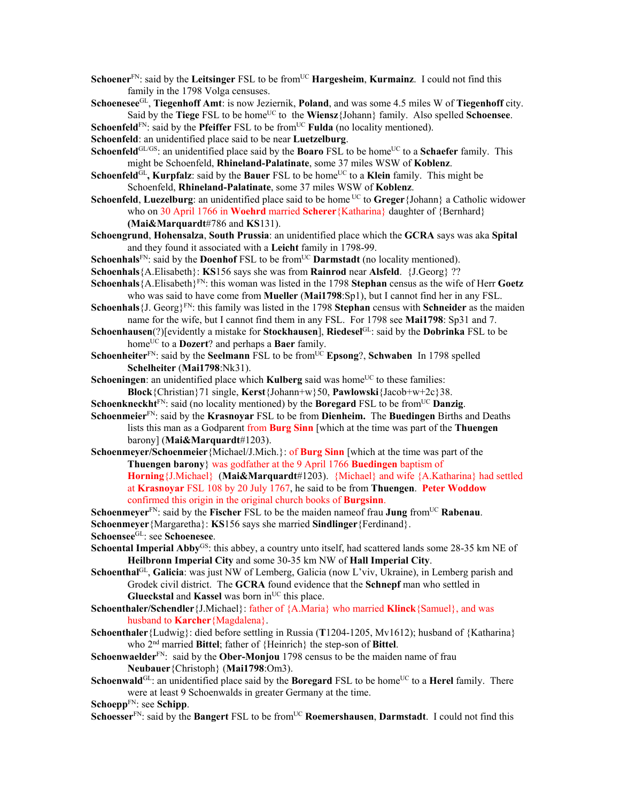- **Schoener**<sup>FN</sup>: said by the **Leitsinger** FSL to be from<sup>UC</sup> **Hargesheim**, **Kurmainz**. I could not find this family in the 1798 Volga censuses.
- **Schoenesee**GL, **Tiegenhoff Amt**: is now Jeziernik, **Poland**, and was some 4.5 miles W of **Tiegenhoff** city. Said by the **Tiege** FSL to be home<sup>UC</sup> to the **Wiensz**{Johann} family. Also spelled **Schoensee**.

**Schoenfeld**<sup>FN</sup>: said by the **Pfeiffer** FSL to be from<sup>UC</sup> **Fulda** (no locality mentioned).

**Schoenfeld**: an unidentified place said to be near **Luetzelburg**.

**Schoenfeld**<sup>GL/GS</sup>: an unidentified place said by the **Boaro** FSL to be home<sup>UC</sup> to a **Schaefer** family. This might be Schoenfeld, **Rhineland-Palatinate**, some 37 miles WSW of **Koblenz**.

- **Schoenfeld**<sup>GL</sup>, **Kurpfalz**: said by the **Bauer** FSL to be home<sup>UC</sup> to a **Klein** family. This might be Schoenfeld, **Rhineland-Palatinate**, some 37 miles WSW of **Koblenz**.
- **Schoenfeld**, **Luezelburg**: an unidentified place said to be home UC to **Greger**{Johann} a Catholic widower who on 30 April 1766 in **Woehrd** married **Scherer**{Katharina} daughter of {Bernhard}

**(Mai&Marquardt**#786 and **KS**131).

- **Schoengrund**, **Hohensalza**, **South Prussia**: an unidentified place which the **GCRA** says was aka **Spital** and they found it associated with a **Leicht** family in 1798-99.
- **Schoenhals**<sup>FN</sup>: said by the **Doenhof** FSL to be from<sup>UC</sup> **Darmstadt** (no locality mentioned).
- **Schoenhals**{A.Elisabeth}: **KS**156 says she was from **Rainrod** near **Alsfeld**. {J.Georg} ??
- **Schoenhals** {A.Elisabeth}<sup>FN</sup>: this woman was listed in the 1798 **Stephan** census as the wife of Herr **Goetz** who was said to have come from **Mueller** (**Mai1798**:Sp1), but I cannot find her in any FSL.
- **Schoenhals**{J. Georg}FN: this family was listed in the 1798 **Stephan** census with **Schneider** as the maiden name for the wife, but I cannot find them in any FSL. For 1798 see **Mai1798**: Sp31 and 7.
- **Schoenhausen**(?)[evidently a mistake for **Stockhausen**], **Riedesel**GL: said by the **Dobrinka** FSL to be homeUC to a **Dozert**? and perhaps a **Baer** family.
- **Schoenheiter**<sup>FN</sup>: said by the **Seelmann** FSL to be from<sup>UC</sup> **Epsong**?, **Schwaben** In 1798 spelled **Schelheiter** (**Mai1798**:Nk31).
- **Schoeningen**: an unidentified place which **Kulberg** said was home<sup>UC</sup> to these families:
- **Block**{Christian}71 single, **Kerst**{Johann+w}50, **Pawlowski**{Jacob+w+2c}38.
- **Schoenkneckht**<sup>FN</sup>: said (no locality mentioned) by the **Boregard** FSL to be from<sup>UC</sup> **Danzig**.
- **Schoenmeier**FN: said by the **Krasnoyar** FSL to be from **Dienheim.** The **Buedingen** Births and Deaths lists this man as a Godparent from **Burg Sinn** [which at the time was part of the **Thuengen**  barony] (**Mai&Marquardt**#1203).
- **Schoenmeyer/Schoenmeier**{Michael/J.Mich.}: of **Burg Sinn** [which at the time was part of the **Thuengen barony**} was godfather at the 9 April 1766 **Buedingen** baptism of

**Horning**{J.Michael} (**Mai&Marquardt**#1203). {Michael} and wife {A.Katharina} had settled at **Krasnoyar** FSL 108 by 20 July 1767, he said to be from **Thuengen**. **Peter Woddow** confirmed this origin in the original church books of **Burgsinn**.

**Schoenmeyer**<sup>FN</sup>: said by the **Fischer** FSL to be the maiden name of frau **Jung** from<sup>UC</sup> **Rabenau**.

**Schoenmeyer**{Margaretha}: **KS**156 says she married **Sindlinger**{Ferdinand}.

**Schoensee**GL: see **Schoenesee**.

- Schoental Imperial Abby<sup>GS</sup>: this abbey, a country unto itself, had scattered lands some 28-35 km NE of **Heilbronn Imperial City** and some 30-35 km NW of **Hall Imperial City**.
- **Schoenthal**GL, **Galicia**: was just NW of Lemberg, Galicia (now L'viv, Ukraine), in Lemberg parish and Grodek civil district. The **GCRA** found evidence that the **Schnepf** man who settled in **Glueckstal** and **Kassel** was born in<sup>UC</sup> this place.
- **Schoenthaler/Schendler**{J.Michael}: father of {A.Maria} who married **Klinck**{Samuel}, and was husband to **Karcher**{Magdalena}.
- **Schoenthaler**{Ludwig}: died before settling in Russia (**T**1204-1205, Mv1612); husband of {Katharina} who 2nd married **Bittel**; father of {Heinrich} the step-son of **Bittel**.

**Schoenwaelder**<sup>FN</sup>: said by the **Ober-Monjou** 1798 census to be the maiden name of frau **Neubauer**{Christoph} (**Mai1798**:Om3).

**Schoenwald**<sup>GL</sup>: an unidentified place said by the **Boregard** FSL to be home<sup>UC</sup> to a **Herel** family. There were at least 9 Schoenwalds in greater Germany at the time.

**Schoepp**FN: see **Schipp**.

**Schoesser**<sup>FN</sup>: said by the **Bangert** FSL to be from<sup>UC</sup> **Roemershausen**, **Darmstadt**. I could not find this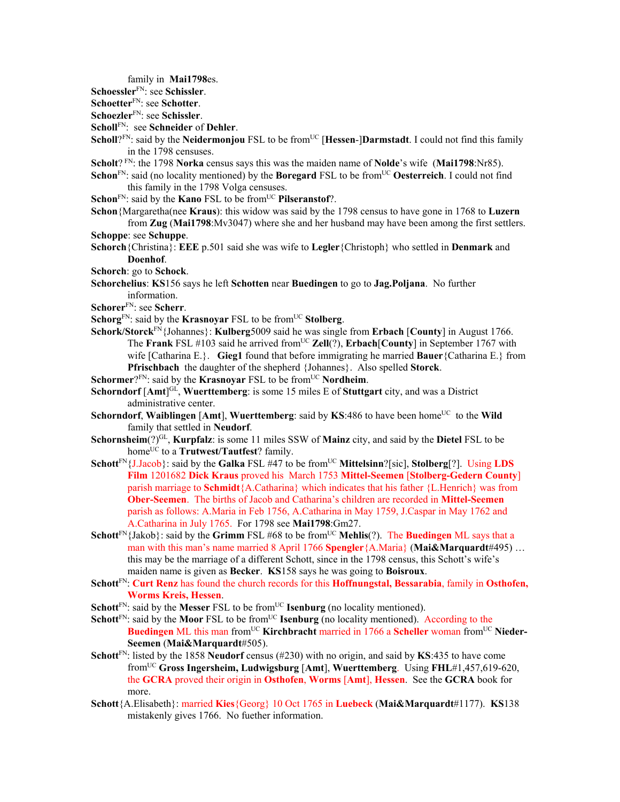family in **Mai1798**es.

**Schoessler**FN: see **Schissler**.

**Schoetter**FN: see **Schotter**.

**Schoezler**FN: see **Schissler**.

**Scholl**FN: see **Schneider** of **Dehler**.

- **Scholl**?<sup>FN</sup>: said by the **Neidermonjou** FSL to be from<sup>UC</sup> [**Hessen-**]Darmstadt. I could not find this family in the 1798 censuses.
- **Scholt**? FN: the 1798 **Norka** census says this was the maiden name of **Nolde**'s wife (**Mai1798**:Nr85).
- **Schon**<sup>FN</sup>: said (no locality mentioned) by the **Boregard** FSL to be from<sup>UC</sup> **Oesterreich**. I could not find this family in the 1798 Volga censuses.
- **Schon**<sup>FN</sup>: said by the **Kano** FSL to be from<sup>UC</sup> **Pilseranstof**?.

**Schon**{Margaretha(nee **Kraus**): this widow was said by the 1798 census to have gone in 1768 to **Luzern** from **Zug** (**Mai1798**:Mv3047) where she and her husband may have been among the first settlers.

- **Schoppe**: see **Schuppe**.
- **Schorch**{Christina}: **EEE** p.501 said she was wife to **Legler**{Christoph} who settled in **Denmark** and **Doenhof**.
- **Schorch**: go to **Schock**.
- **Schorchelius**: **KS**156 says he left **Schotten** near **Buedingen** to go to **Jag.Poljana**. No further information.
- **Schorer**FN: see **Scherr**.
- **Schorg**<sup>FN</sup>: said by the **Krasnoyar** FSL to be from<sup>UC</sup> **Stolberg**.
- **Schork/Storck**FN{Johannes}: **Kulberg**5009 said he was single from **Erbach** [**County**] in August 1766. The **Frank** FSL #103 said he arrived from<sup>UC</sup> **Zell**(?), **Erbach**[**County**] in September 1767 with wife [Catharina E.}. **Gieg1** found that before immigrating he married **Bauer**{Catharina E.} from **Pfrischbach** the daughter of the shepherd {Johannes}. Also spelled **Storck**.
- **Schormer**?FN: said by the **Krasnoyar** FSL to be from<sup>UC</sup> **Nordheim**.
- **Schorndorf** [Amt]<sup>GL</sup>, Wuerttemberg: is some 15 miles E of Stuttgart city, and was a District administrative center.
- **Schorndorf, Waiblingen** [Amt], **Wuerttemberg**: said by **KS**:486 to have been home<sup>UC</sup> to the **Wild** family that settled in **Neudorf**.
- **Schornsheim**(?)GL, **Kurpfalz**: is some 11 miles SSW of **Mainz** city, and said by the **Dietel** FSL to be home<sup>UC</sup> to a **Trutwest/Tautfest**? family.
- **Schott**<sup>FN</sup>{J.Jacob}: said by the **Galka** FSL #47 to be from<sup>UC</sup> **Mittelsinn**?[sic], **Stolberg**[?]. Using **LDS Film** 1201682 **Dick Kraus** proved his March 1753 **Mittel-Seemen** [**Stolberg-Gedern County**] parish marriage to **Schmidt**{A.Catharina} which indicates that his father {L.Henrich} was from **Ober-Seemen**. The births of Jacob and Catharina's children are recorded in **Mittel-Seemen** parish as follows: A.Maria in Feb 1756, A.Catharina in May 1759, J.Caspar in May 1762 and A.Catharina in July 1765. For 1798 see **Mai1798**:Gm27.
- **Schott**<sup>FN</sup>{Jakob}: said by the **Grimm** FSL #68 to be from<sup>UC</sup> Mehlis(?). The Buedingen ML says that a man with this man's name married 8 April 1766 **Spengler**{A.Maria} (**Mai&Marquardt**#495) … this may be the marriage of a different Schott, since in the 1798 census, this Schott's wife's maiden name is given as **Becker**. **KS**158 says he was going to **Boisroux**.
- **Schott**<sup>FN</sup>: **Curt Renz** has found the church records for this **Hoffnungstal, Bessarabia**, family in **Osthofen, Worms Kreis, Hessen**.
- **Schott**<sup>FN</sup>: said by the **Messer** FSL to be from<sup>UC</sup> **Isenburg** (no locality mentioned).
- **Schott**<sup>FN</sup>: said by the **Moor** FSL to be from<sup>UC</sup> **Isenburg** (no locality mentioned). According to the **Buedingen** ML this man from<sup>UC</sup> Kirchbracht married in 1766 a Scheller woman from<sup>UC</sup> Nieder-**Seemen** (**Mai&Marquardt**#505).
- **Schott**<sup>FN</sup>: listed by the 1858 **Neudorf** census (#230) with no origin, and said by **KS**:435 to have come fromUC **Gross Ingersheim, Ludwigsburg** [**Amt**], **Wuerttemberg**. Using **FHL**#1,457,619-620, the **GCRA** proved their origin in **Osthofen**, **Worms** [**Amt**], **Hessen**. See the **GCRA** book for more.
- **Schott**{A.Elisabeth}: married **Kies**{Georg} 10 Oct 1765 in **Luebeck** (**Mai&Marquardt**#1177). **KS**138 mistakenly gives 1766. No fuether information.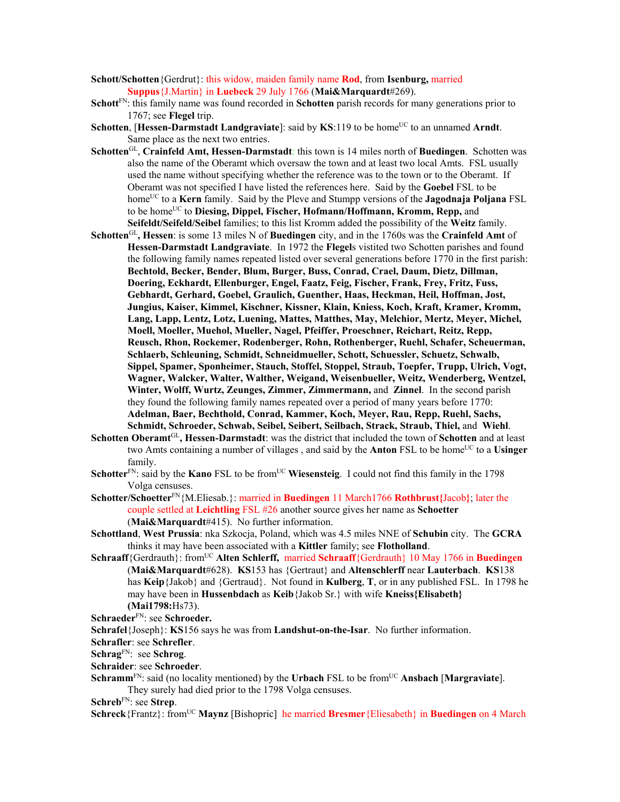- **Schott/Schotten**{Gerdrut}: this widow, maiden family name **Rod**, from **Isenburg,** married **Suppus**{J.Martin} in **Luebeck** 29 July 1766 (**Mai&Marquardt**#269).
- **Schott**FN: this family name was found recorded in **Schotten** parish records for many generations prior to 1767; see **Flegel** trip.
- **Schotten, [Hessen-Darmstadt Landgraviate]:** said by **KS**:119 to be home<sup>UC</sup> to an unnamed **Arndt**. Same place as the next two entries.
- **Schotten**GL, **Crainfeld Amt, Hessen-Darmstadt**: this town is 14 miles north of **Buedingen**. Schotten was also the name of the Oberamt which oversaw the town and at least two local Amts. FSL usually used the name without specifying whether the reference was to the town or to the Oberamt. If Oberamt was not specified I have listed the references here. Said by the **Goebel** FSL to be homeUC to a **Kern** family. Said by the Pleve and Stumpp versions of the **Jagodnaja Poljana** FSL to be home<sup>UC</sup> to **Diesing, Dippel, Fischer, Hofmann/Hoffmann, Kromm, Repp,** and **Seifeldt/Seifeld/Seibel** families; to this list Kromm added the possibility of the **Weitz** family.
- **Schotten**GL**, Hessen**: is some 13 miles N of **Buedingen** city, and in the 1760s was the **Crainfeld Amt** of **Hessen-Darmstadt Landgraviate**. In 1972 the **Flegel**s vistited two Schotten parishes and found the following family names repeated listed over several generations before 1770 in the first parish: **Bechtold, Becker, Bender, Blum, Burger, Buss, Conrad, Crael, Daum, Dietz, Dillman, Doering, Eckhardt, Ellenburger, Engel, Faatz, Feig, Fischer, Frank, Frey, Fritz, Fuss, Gebhardt, Gerhard, Goebel, Graulich, Guenther, Haas, Heckman, Heil, Hoffman, Jost, Jungius, Kaiser, Kimmel, Kischner, Kissner, Klain, Kniess, Koch, Kraft, Kramer, Kromm, Lang, Lapp, Lentz, Lotz, Luening, Mattes, Matthes, May, Melchior, Mertz, Meyer, Michel, Moell, Moeller, Muehol, Mueller, Nagel, Pfeiffer, Proeschner, Reichart, Reitz, Repp, Reusch, Rhon, Rockemer, Rodenberger, Rohn, Rothenberger, Ruehl, Schafer, Scheuerman, Schlaerb, Schleuning, Schmidt, Schneidmueller, Schott, Schuessler, Schuetz, Schwalb, Sippel, Spamer, Sponheimer, Stauch, Stoffel, Stoppel, Straub, Toepfer, Trupp, Ulrich, Vogt, Wagner, Walcker, Walter, Walther, Weigand, Weisenbueller, Weitz, Wenderberg, Wentzel, Winter, Wolff, Wurtz, Zeunges, Zimmer, Zimmermann,** and **Zinnel**. In the second parish they found the following family names repeated over a period of many years before 1770: **Adelman, Baer, Bechthold, Conrad, Kammer, Koch, Meyer, Rau, Repp, Ruehl, Sachs, Schmidt, Schroeder, Schwab, Seibel, Seibert, Seilbach, Strack, Straub, Thiel,** and **Wiehl**.
- **Schotten Oberamt**GL**, Hessen-Darmstadt**: was the district that included the town of **Schotten** and at least two Amts containing a number of villages, and said by the **Anton** FSL to be home<sup>UC</sup> to a Usinger family.
- **Schotter**<sup>FN</sup>: said by the **Kano** FSL to be from<sup>UC</sup> **Wiesensteig**. I could not find this family in the 1798 Volga censuses.
- **Schotter/Schoetter**FN{M.Eliesab.}: married in **Buedingen** 11 March1766 **Rothbrust{**Jacob**}**; later the couple settled at **Leichtling** FSL #26 another source gives her name as **Schoetter** (**Mai&Marquardt**#415). No further information.
- **Schottland**, **West Prussia**: nka Szkocja, Poland, which was 4.5 miles NNE of **Schubin** city. The **GCRA** thinks it may have been associated with a **Kittler** family; see **Flotholland**.
- **Schraaff**{Gerdrauth}: from<sup>UC</sup> **Alten Schlerff, married Schraaff**{Gerdrauth} 10 May 1766 in **Buedingen** (**Mai&Marquardt**#628). **KS**153 has {Gertraut} and **Altenschlerff** near **Lauterbach**. **KS**138 has **Keip**{Jakob} and {Gertraud}. Not found in **Kulberg**, **T**, or in any published FSL. In 1798 he may have been in **Hussenbdach** as **Keib**{Jakob Sr.} with wife **Kneiss{Elisabeth} (Mai1798:**Hs73).
- **Schraeder**FN: see **Schroeder.**
- **Schrafel**{Joseph}: **KS**156 says he was from **Landshut-on-the-Isar**. No further information.
- **Schrafler**: see **Schrefler**.
- **Schrag**FN: see **Schrog**.
- **Schraider**: see **Schroeder**.
- **Schramm**<sup>FN</sup>: said (no locality mentioned) by the **Urbach** FSL to be from<sup>UC</sup> Ansbach [Margraviate]. They surely had died prior to the 1798 Volga censuses.

**Schreb**FN: see **Strep**.

**Schreck**{Frantz}: from<sup>UC</sup> **Maynz** [Bishopric] he married **Bresmer**{Eliesabeth} in **Buedingen** on 4 March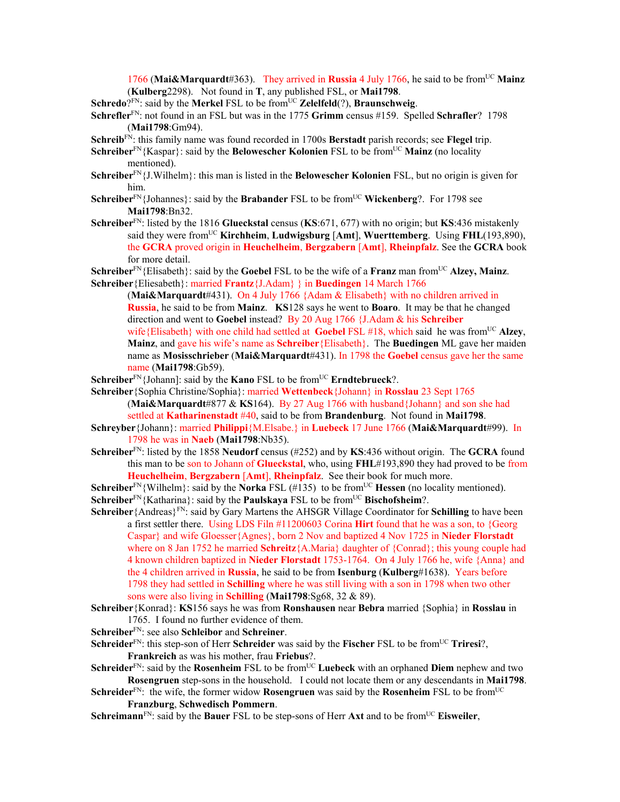1766 (Mai&Marquardt#363). They arrived in Russia 4 July 1766, he said to be from<sup>UC</sup> Mainz (**Kulberg**2298). Not found in **T**, any published FSL, or **Mai1798**.

**Schredo**?FN: said by the **Merkel** FSL to be from<sup>UC</sup> **Zelelfeld**(?), **Braunschweig**.

**Schrefler**FN: not found in an FSL but was in the 1775 **Grimm** census #159. Spelled **Schrafler**? 1798 (**Mai1798**:Gm94).

**Schreib**FN: this family name was found recorded in 1700s **Berstadt** parish records; see **Flegel** trip.

**Schreiber**<sup>FN</sup>{Kaspar}: said by the **Belowescher Kolonien** FSL to be from<sup>UC</sup> Mainz (no locality mentioned).

- **Schreiber**FN{J.Wilhelm}: this man is listed in the **Belowescher Kolonien** FSL, but no origin is given for him.
- **Schreiber**<sup>FN</sup>{Johannes}: said by the **Brabander** FSL to be from<sup>UC</sup> **Wickenberg**?. For 1798 see **Mai1798**:Bn32.
- **Schreiber**FN: listed by the 1816 **Glueckstal** census (**KS**:671, 677) with no origin; but **KS**:436 mistakenly said they were fromUC **Kirchheim**, **Ludwigsburg** [**Amt**], **Wuerttemberg**. Using **FHL**(193,890), the **GCRA** proved origin in **Heuchelheim**, **Bergzabern** [**Amt**], **Rheinpfalz**. See the **GCRA** book for more detail.

**Schreiber**<sup>FN</sup>{Elisabeth}: said by the **Goebel** FSL to be the wife of a **Franz** man from<sup>UC</sup> Alzey, Mainz. **Schreiber**{Eliesabeth}: married **Frantz**{J.Adam} } in **Buedingen** 14 March 1766

(**Mai&Marquardt**#431). On 4 July 1766 {Adam & Elisabeth} with no children arrived in **Russia**, he said to be from **Mainz**. **KS**128 says he went to **Boaro**. It may be that he changed direction and went to **Goebel** instead? By 20 Aug 1766 {J.Adam & his **Schreiber**  wife{Elisabeth} with one child had settled at **Goebel FSL** #18, which said he was from<sup>UC</sup> **Alzey**, **Mainz**, and gave his wife's name as **Schreiber**{Elisabeth}. The **Buedingen** ML gave her maiden name as **Mosisschrieber** (**Mai&Marquardt**#431). In 1798 the **Goebel** census gave her the same name (**Mai1798**:Gb59).

**Schreiber**<sup>FN</sup>{Johann]: said by the **Kano** FSL to be from<sup>UC</sup> **Erndtebrueck**?.

- **Schreiber**{Sophia Christine/Sophia}: married **Wettenbeck**{Johann} in **Rosslau** 23 Sept 1765 (**Mai&Marquardt**#877 & **KS**164). By 27 Aug 1766 with husband{Johann} and son she had settled at **Katharinenstadt** #40, said to be from **Brandenburg**. Not found in **Mai1798**.
- **Schreyber**{Johann}: married **Philippi**{M.Elsabe.} in **Luebeck** 17 June 1766 (**Mai&Marquardt**#99). In 1798 he was in **Naeb** (**Mai1798**:Nb35).
- **Schreiber**FN: listed by the 1858 **Neudorf** census (#252) and by **KS**:436 without origin. The **GCRA** found this man to be son to Johann of **Glueckstal**, who, using **FHL**#193,890 they had proved to be from **Heuchelheim**, **Bergzabern** [**Amt**], **Rheinpfalz**. See their book for much more.

**Schreiber**<sup>FN</sup>{Wilhelm}: said by the **Norka** FSL (#135) to be from<sup>UC</sup> **Hessen** (no locality mentioned). **Schreiber**<sup>FN</sup>{Katharina}: said by the **Paulskaya** FSL to be from<sup>UC</sup> **Bischofsheim**?.

- **Schreiber**{Andreas}FN: said by Gary Martens the AHSGR Village Coordinator for **Schilling** to have been a first settler there. Using LDS Filn #11200603 Corina **Hirt** found that he was a son, to {Georg Caspar} and wife Gloesser{Agnes}, born 2 Nov and baptized 4 Nov 1725 in **Nieder Florstadt**  where on 8 Jan 1752 he married **Schreitz**{A.Maria} daughter of {Conrad}; this young couple had 4 known children baptized in **Nieder Florstadt** 1753-1764. On 4 July 1766 he, wife {Anna} and the 4 children arrived in **Russia**, he said to be from **Isenburg** (**Kulberg**#1638). Years before 1798 they had settled in **Schilling** where he was still living with a son in 1798 when two other sons were also living in **Schilling** (**Mai1798**:Sg68, 32 & 89).
- **Schreiber**{Konrad}: **KS**156 says he was from **Ronshausen** near **Bebra** married {Sophia} in **Rosslau** in 1765. I found no further evidence of them.
- **Schreiber**FN: see also **Schleibor** and **Schreiner**.
- **Schreider**<sup>FN</sup>: this step-son of Herr **Schreider** was said by the **Fischer** FSL to be from<sup>UC</sup> **Triresi**?, **Frankreich** as was his mother, frau **Friebus**?.
- **Schreider**<sup>FN</sup>: said by the **Rosenheim** FSL to be from<sup>UC</sup> Luebeck with an orphaned Diem nephew and two **Rosengruen** step-sons in the household. I could not locate them or any descendants in **Mai1798**.
- **Schreider**<sup>FN</sup>: the wife, the former widow **Rosengruen** was said by the **Rosenheim** FSL to be from<sup>UC</sup> **Franzburg**, **Schwedisch Pommern**.

**Schreimann**<sup>FN</sup>: said by the **Bauer** FSL to be step-sons of Herr **Axt** and to be from<sup>UC</sup> **Eisweiler**,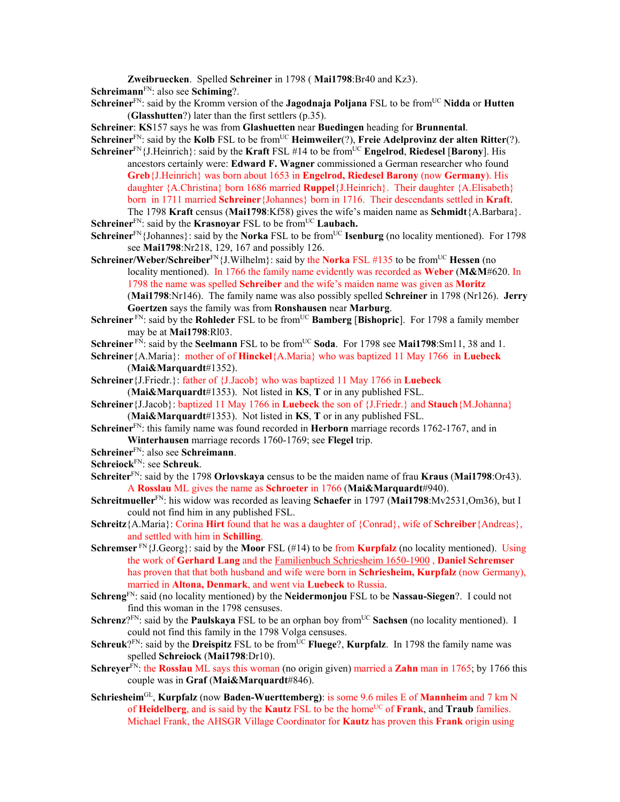**Zweibruecken**. Spelled **Schreiner** in 1798 ( **Mai1798**:Br40 and Kz3). **Schreimann**FN: also see **Schiming**?.

**Schreiner**<sup>FN</sup>: said by the Kromm version of the **Jagodnaja Poljana** FSL to be from<sup>UC</sup> Nidda or Hutten (**Glasshutten**?) later than the first settlers (p.35).

**Schreiner**: **KS**157 says he was from **Glashuetten** near **Buedingen** heading for **Brunnental**.

**Schreiner**<sup>FN</sup>: said by the **Kolb** FSL to be from<sup>UC</sup> **Heimweiler**(?), **Freie Adelprovinz der alten Ritter**(?).

**Schreiner**<sup>FN</sup>{J.Heinrich}: said by the **Kraft** FSL #14 to be from<sup>UC</sup> **Engelrod**, **Riedesel** [**Barony**]. His ancestors certainly were: **Edward F. Wagner** commissioned a German researcher who found **Greb**{J.Heinrich} was born about 1653 in **Engelrod, Riedesel Barony** (now **Germany**). His daughter {A.Christina} born 1686 married **Ruppel**{J.Heinrich}. Their daughter {A.Elisabeth} born in 1711 married **Schreiner**{Johannes} born in 1716. Their descendants settled in **Kraft**.

The 1798 **Kraft** census (**Mai1798**:Kf58) gives the wife's maiden name as **Schmidt**{A.Barbara}. **Schreiner**<sup>FN</sup>: said by the **Krasnoyar** FSL to be from<sup>UC</sup> **Laubach.** 

**Schreiner**<sup>FN</sup>{Johannes}: said by the **Norka** FSL to be from<sup>UC</sup> **Isenburg** (no locality mentioned). For 1798 see **Mai1798**:Nr218, 129, 167 and possibly 126.

**Schreiner/Weber/Schreiber**<sup>FN</sup>{J.Wilhelm}: said by the **Norka** FSL #135 to be from<sup>UC</sup> **Hessen** (no locality mentioned). In 1766 the family name evidently was recorded as **Weber** (**M&M**#620. In 1798 the name was spelled **Schreiber** and the wife's maiden name was given as **Moritz** (**Mai1798**:Nr146). The family name was also possibly spelled **Schreiner** in 1798 (Nr126). **Jerry Goertzen** says the family was from **Ronshausen** near **Marburg**.

- **Schreiner** FN: said by the **Rohleder** FSL to be from<sup>UC</sup> **Bamberg** [Bishopric]. For 1798 a family member may be at **Mai1798**:Rl03.
- **Schreiner** FN: said by the **Seelmann** FSL to be from<sup>UC</sup> **Soda**. For 1798 see **Mai1798**:Sm11, 38 and 1.
- **Schreiner**{A.Maria}: mother of of **Hinckel**{A.Maria} who was baptized 11 May 1766 in **Luebeck** (**Mai&Marquardt**#1352).

**Schreiner**{J.Friedr.}: father of {J.Jacob} who was baptized 11 May 1766 in **Luebeck** (**Mai&Marquardt**#1353). Not listed in **KS**, **T** or in any published FSL.

- **Schreiner**{J.Jacob}: baptized 11 May 1766 in **Luebeck** the son of {J.Friedr.} and **Stauch**{M.Johanna} (**Mai&Marquardt**#1353). Not listed in **KS**, **T** or in any published FSL.
- **Schreiner**FN: this family name was found recorded in **Herborn** marriage records 1762-1767, and in **Winterhausen** marriage records 1760-1769; see **Flegel** trip.
- **Schreiner**FN: also see **Schreimann**.
- **Schreiock**FN: see **Schreuk**.
- **Schreiter**FN: said by the 1798 **Orlovskaya** census to be the maiden name of frau **Kraus** (**Mai1798**:Or43). A **Rosslau** ML gives the name as **Schroeter** in 1766 (**Mai&Marquardt**#940).
- **Schreitmueller**FN: his widow was recorded as leaving **Schaefer** in 1797 (**Mai1798**:Mv2531,Om36), but I could not find him in any published FSL.
- **Schreitz**{A.Maria}: Corina **Hirt** found that he was a daughter of {Conrad}, wife of **Schreiber**{Andreas}, and settled with him in **Schilling**.
- **Schremser**  $F_N$ {J.Georg}: said by the **Moor** FSL (#14) to be from **Kurpfalz** (no locality mentioned). Using the work of **Gerhard Lang** and the Familienbuch Schriesheim 1650-1900 , **Daniel Schremser** has proven that that both husband and wife were born in **Schriesheim, Kurpfalz** (now Germany), married in **Altona, Denmark**, and went via **Luebeck** to Russia.
- **Schreng**FN: said (no locality mentioned) by the **Neidermonjou** FSL to be **Nassau-Siegen**?. I could not find this woman in the 1798 censuses.
- **Schrenz**?<sup>FN</sup>: said by the **Paulskaya** FSL to be an orphan boy from<sup>UC</sup> Sachsen (no locality mentioned). I could not find this family in the 1798 Volga censuses.
- **Schreuk**? $F_N$ : said by the **Dreispitz** FSL to be from  $\overline{UC}$  **Fluege**?, **Kurpfalz**. In 1798 the family name was spelled **Schreiock** (**Mai1798**:Dr10).
- **Schreyer**<sup>FN</sup>: the **Rosslau** ML says this woman (no origin given) married a **Zahn** man in 1765; by 1766 this couple was in **Graf** (**Mai&Marquardt**#846).
- **Schriesheim**GL, **Kurpfalz** (now **Baden-Wuerttemberg)**: is some 9.6 miles E of **Mannheim** and 7 km N of **Heidelberg**, and is said by the **Kautz** FSL to be the homeUC of **Frank**, and **Traub** families. Michael Frank, the AHSGR Village Coordinator for **Kautz** has proven this **Frank** origin using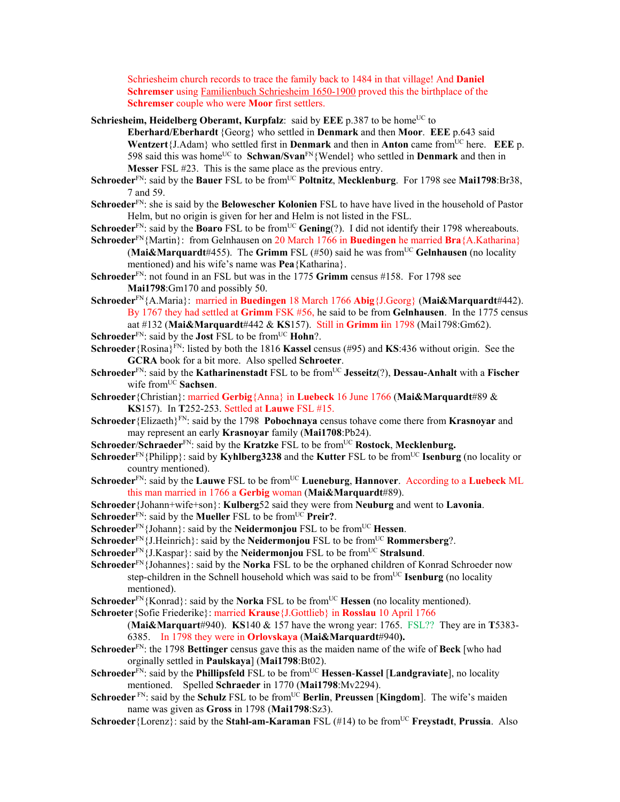Schriesheim church records to trace the family back to 1484 in that village! And **Daniel Schremser** using Familienbuch Schriesheim 1650-1900 proved this the birthplace of the **Schremser** couple who were **Moor** first settlers.

**Schriesheim, Heidelberg Oberamt, Kurpfalz**: said by **EEE** p.387 to be home<sup>UC</sup> to

**Eberhard/Eberhardt** {Georg} who settled in **Denmark** and then **Moor**. **EEE** p.643 said **Wentzert**{J.Adam} who settled first in **Denmark** and then in **Anton** came fromUC here. **EEE** p. 598 said this was home<sup>UC</sup> to **Schwan/Svan**<sup>FN</sup>{Wendel} who settled in **Denmark** and then in **Messer** FSL #23. This is the same place as the previous entry.

- **Schroeder**<sup>FN</sup>: said by the **Bauer** FSL to be from<sup>UC</sup> **Poltnitz**, **Mecklenburg**. For 1798 see **Mai1798**:Br38, 7 and 59.
- **Schroeder**FN: she is said by the **Belowescher Kolonien** FSL to have have lived in the household of Pastor Helm, but no origin is given for her and Helm is not listed in the FSL.

**Schroeder**<sup>FN</sup>: said by the **Boaro** FSL to be from<sup>UC</sup> **Gening**(?). I did not identify their 1798 whereabouts. **Schroeder**FN{Martin}: from Gelnhausen on 20 March 1766 in **Buedingen** he married **Bra**{A.Katharina}

(**Mai&Marquardt**#455). The **Grimm** FSL (#50) said he was fromUC **Gelnhausen** (no locality mentioned) and his wife's name was **Pea**{Katharina}.

**Schroeder**<sup>FN</sup>: not found in an FSL but was in the 1775 **Grimm** census #158. For 1798 see **Mai1798**:Gm170 and possibly 50.

**Schroeder**FN{A.Maria}: married in **Buedingen** 18 March 1766 **Abig**{J.Georg} (**Mai&Marquardt**#442). By 1767 they had settled at **Grimm** FSK #56, he said to be from **Gelnhausen**. In the 1775 census aat #132 (**Mai&Marquardt**#442 & **KS**157). Still in **Grimm i**in 1798 (Mai1798:Gm62).

**Schroeder**<sup>FN</sup>: said by the **Jost** FSL to be from<sup>UC</sup> **Hohn**?.

**Schroeder**{Rosina}FN: listed by both the 1816 **Kassel** census (#95) and **KS**:436 without origin. See the **GCRA** book for a bit more. Also spelled **Schroeter**.

- **Schroeder**FN: said by the **Katharinenstadt** FSL to be fromUC **Jesseitz**(?), **Dessau-Anhalt** with a **Fischer** wife from<sup>UC</sup> Sachsen.
- **Schroeder**{Christian}: married **Gerbig**{Anna} in **Luebeck** 16 June 1766 (**Mai&Marquardt**#89 & **KS**157). In **T**252-253. Settled at **Lauwe** FSL #15.
- **Schroeder**{Elizaeth}FN: said by the 1798 **Pobochnaya** census tohave come there from **Krasnoyar** and may represent an early **Krasnoyar** family (**Mai1708**:Pb24).
- **Schroeder/Schraeder**<sup>FN</sup>: said by the **Kratzke** FSL to be from<sup>UC</sup> **Rostock**, **Mecklenburg.**
- **Schroeder**<sup>FN</sup>{Philipp}: said by **Kyhlberg3238** and the **Kutter** FSL to be from<sup>UC</sup> **Isenburg** (no locality or country mentioned).
- **Schroeder**FN: said by the **Lauwe** FSL to be fromUC **Lueneburg**, **Hannover**. According to a **Luebeck** ML this man married in 1766 a **Gerbig** woman (**Mai&Marquardt**#89).
- **Schroeder**{Johann+wife+son}: **Kulberg**52 said they were from **Neuburg** and went to **Lavonia**.
- Schroeder<sup>FN</sup>: said by the **Mueller** FSL to be from<sup>UC</sup> Preir?.
- **Schroeder**<sup>FN</sup>{Johann}: said by the **Neidermonjou** FSL to be from<sup>UC</sup> **Hessen**.
- **Schroeder**<sup>FN</sup>{J.Heinrich}: said by the **Neidermonjou** FSL to be from<sup>UC</sup> **Rommersberg**?.
- **Schroeder**<sup>FN</sup> $\{J.Kaspar\}$ : said by the **Neidermonjou** FSL to be from<sup>UC</sup> **Stralsund**.

**Schroeder**FN{Johannes}: said by the **Norka** FSL to be the orphaned children of Konrad Schroeder now step-children in the Schnell household which was said to be from<sup>UC</sup> Isenburg (no locality mentioned).

- **Schroeder**<sup>FN</sup>{Konrad}: said by the **Norka** FSL to be from<sup>UC</sup> **Hessen** (no locality mentioned).
- **Schroeter**{Sofie Friederike}: married **Krause**{J.Gottlieb} in **Rosslau** 10 April 1766
	- (**Mai&Marquart**#940). **KS**140 & 157 have the wrong year: 1765. FSL?? They are in **T**5383- 6385. In 1798 they were in **Orlovskaya** (**Mai&Marquardt**#940**).**
- **Schroeder**FN: the 1798 **Bettinger** census gave this as the maiden name of the wife of **Beck** [who had orginally settled in **Paulskaya**] (**Mai1798**:Bt02).
- Schroeder<sup>FN</sup>: said by the **Phillipsfeld** FSL to be from<sup>UC</sup> Hessen-Kassel [Landgraviate], no locality mentioned. Spelled **Schraeder** in 1770 (**Mai1798**:Mv2294).
- **Schroeder**<sup>FN</sup>: said by the **Schulz** FSL to be from<sup>UC</sup> Berlin, Preussen [Kingdom]. The wife's maiden name was given as **Gross** in 1798 (**Mai1798**:Sz3).
- **Schroeder**{Lorenz}: said by the **Stahl-am-Karaman** FSL (#14) to be from<sup>UC</sup> **Freystadt**, **Prussia**. Also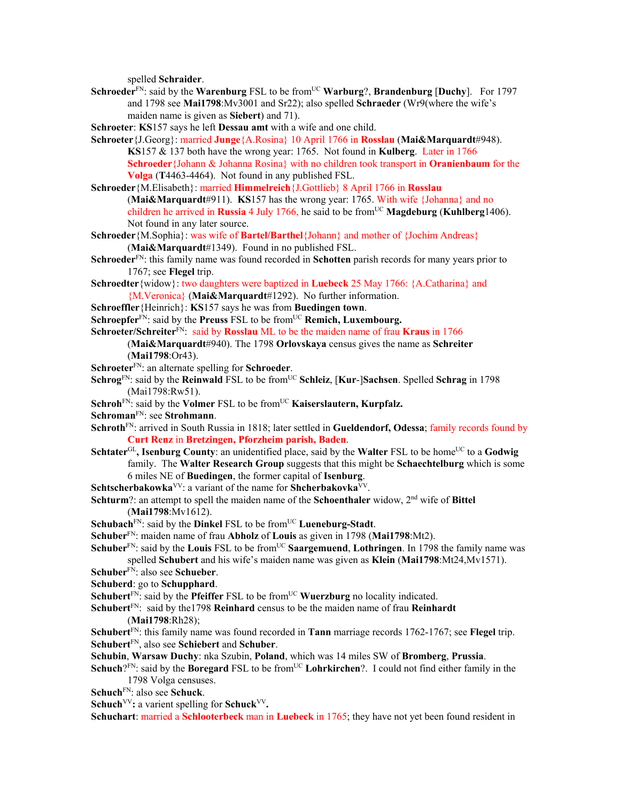spelled **Schraider**.

- **Schroeder**<sup>FN</sup>: said by the **Warenburg** FSL to be from<sup>UC</sup> **Warburg**?, **Brandenburg** [Duchy]. For 1797 and 1798 see **Mai1798**:Mv3001 and Sr22); also spelled **Schraeder** (Wr9(where the wife's maiden name is given as **Siebert**) and 71).
- **Schroeter**: **KS**157 says he left **Dessau amt** with a wife and one child.
- **Schroeter**{J.Georg}: married **Junge**{A.Rosina} 10 April 1766 in **Rosslau** (**Mai&Marquardt**#948). **KS**157 & 137 both have the wrong year: 1765. Not found in **Kulberg**. Later in 1766 **Schroeder**{Johann & Johanna Rosina} with no children took transport in **Oranienbaum** for the **Volga** (**T**4463-4464). Not found in any published FSL.
- **Schroeder**{M.Elisabeth}: married **Himmelreich**{J.Gottlieb} 8 April 1766 in **Rosslau**  (**Mai&Marquardt**#911). **KS**157 has the wrong year: 1765. With wife {Johanna} and no children he arrived in **Russia** 4 July 1766, he said to be from<sup>UC</sup> **Magdeburg** (**Kuhlberg**1406). Not found in any later source.
- **Schroeder**{M.Sophia}: was wife of **Bartel/Barthel**{Johann} and mother of {Jochim Andreas} (**Mai&Marquardt**#1349). Found in no published FSL.
- **Schroeder**FN: this family name was found recorded in **Schotten** parish records for many years prior to 1767; see **Flegel** trip.
- **Schroedter**{widow}: two daughters were baptized in **Luebeck** 25 May 1766: {A.Catharina} and {M.Veronica} (**Mai&Marquardt**#1292). No further information.
- **Schroeffler**{Heinrich}: **KS**157 says he was from **Buedingen town**.
- **Schroepfer**<sup>FN</sup>: said by the **Preuss** FSL to be from<sup>UC</sup> **Remich, Luxembourg.**

**Schroeter/Schreiter**<sup>FN</sup>: said by **Rosslau** ML to be the maiden name of frau **Kraus** in 1766 (**Mai&Marquardt**#940). The 1798 **Orlovskaya** census gives the name as **Schreiter** (**Mai1798**:Or43).

- **Schroeter**FN: an alternate spelling for **Schroeder**.
- **Schrog**<sup>FN</sup>: said by the **Reinwald** FSL to be from<sup>UC</sup> **Schleiz**, [**Kur-**]**Sachsen**. Spelled **Schrag** in 1798 (Mai1798:Rw51).
- **Schroh**<sup>FN</sup>: said by the **Volmer** FSL to be from<sup>UC</sup> **Kaiserslautern, Kurpfalz.**

**Schroman**FN: see **Strohmann**.

- **Schroth**FN: arrived in South Russia in 1818; later settled in **Gueldendorf, Odessa**; family records found by **Curt Renz** in **Bretzingen, Pforzheim parish, Baden**.
- **Schtater**<sup>GL</sup>, **Isenburg County**: an unidentified place, said by the **Walter** FSL to be home<sup>UC</sup> to a **Godwig** family. The **Walter Research Group** suggests that this might be **Schaechtelburg** which is some 6 miles NE of **Buedingen**, the former capital of **Isenburg**.
- **Schtscherbakowka**VV: a variant of the name for **Shcherbakovka**VV.

**Schturm**?: an attempt to spell the maiden name of the **Schoenthaler** widow, 2nd wife of **Bittel** (**Mai1798**:Mv1612).

- **Schubach**<sup>FN</sup>: said by the **Dinkel** FSL to be from<sup>UC</sup> **Lueneburg-Stadt**.
- **Schuber**FN: maiden name of frau **Abholz** of **Louis** as given in 1798 (**Mai1798**:Mt2).
- **Schuber**<sup>FN</sup>: said by the **Louis** FSL to be from<sup>UC</sup> **Saargemuend**, **Lothringen**. In 1798 the family name was spelled **Schubert** and his wife's maiden name was given as **Klein** (**Mai1798**:Mt24,Mv1571).
- **Schuber**FN: also see **Schueber**.
- **Schuberd**: go to **Schupphard**.
- **Schubert** $F_N$ : said by the **Pfeiffer** FSL to be from<sup>UC</sup> **Wuerzburg** no locality indicated.
- **Schubert**FN: said by the1798 **Reinhard** census to be the maiden name of frau **Reinhardt** (**Mai1798**:Rh28);
- **Schubert**FN: this family name was found recorded in **Tann** marriage records 1762-1767; see **Flegel** trip. **Schubert**FN, also see **Schiebert** and **Schuber**.
- **Schubin**, **Warsaw Duchy**: nka Szubin, **Poland**, which was 14 miles SW of **Bromberg**, **Prussia**.
- **Schuch**?<sup>FN</sup>: said by the **Boregard** FSL to be from<sup>UC</sup> **Lohrkirchen**?. I could not find either family in the 1798 Volga censuses.
- **Schuch**FN: also see **Schuck**.
- **Schuch**<sup>VV</sup>: a varient spelling for **Schuck**<sup>VV</sup>.
- **Schuchart**: married a **Schlooterbeck** man in **Luebeck** in 1765; they have not yet been found resident in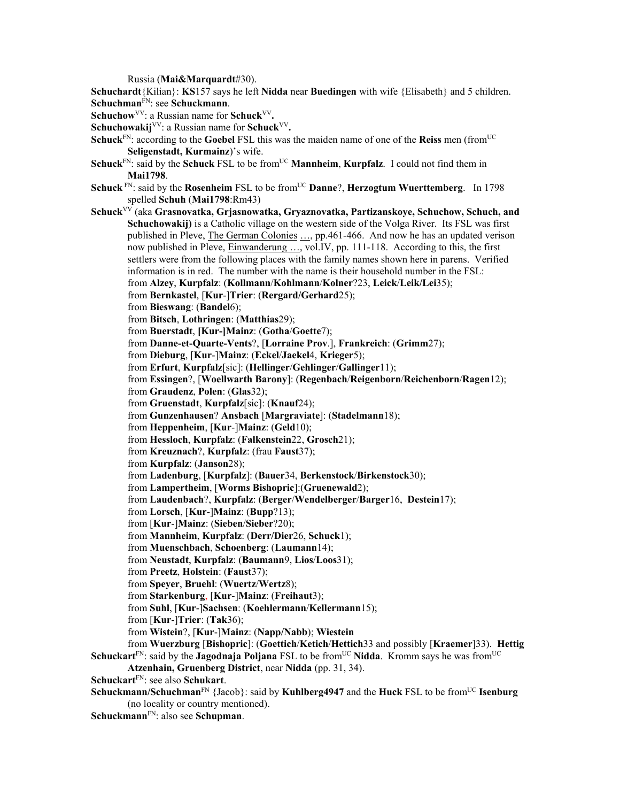Russia (**Mai&Marquardt**#30).

**Schuchardt**{Kilian}: **KS**157 says he left **Nidda** near **Buedingen** with wife {Elisabeth} and 5 children. **Schuchman**FN: see **Schuckmann**.

Schuchow<sup>VV</sup>: a Russian name for Schuck<sup>VV</sup>.

**Schuchowakij**<sup>VV</sup>: a Russian name for **Schuck**<sup>VV</sup>.

- **Schuck**FN: according to the **Goebel** FSL this was the maiden name of one of the **Reiss** men (fromUC **Seligenstadt, Kurmainz**)'s wife.
- **Schuck**<sup>FN</sup>: said by the **Schuck** FSL to be from<sup>UC</sup> **Mannheim**, **Kurpfalz**. I could not find them in **Mai1798**.
- **Schuck** FN: said by the **Rosenheim** FSL to be from<sup>UC</sup> **Danne**?, **Herzogtum Wuerttemberg**. In 1798 spelled **Schuh** (**Mai1798**:Rm43)
- **Schuck**VV (aka **Grasnovatka, Grjasnowatka, Gryaznovatka, Partizanskoye, Schuchow, Schuch, and Schuchowakij)** is a Catholic village on the western side of the Volga River. Its FSL was first published in Pleve, The German Colonies …, pp.461-466. And now he has an updated verison now published in Pleve, Einwanderung ..., vol.IV, pp. 111-118. According to this, the first settlers were from the following places with the family names shown here in parens. Verified information is in red. The number with the name is their household number in the FSL: from **Alzey**, **Kurpfalz**: (**Kollmann**/**Kohlmann**/**Kolner**?23, **Leick**/**Leik/Lei**35); from **Bernkastel**, [**Kur**-]**Trier**: (**Rergard/Gerhard**25); from **Bieswang**: (**Bandel**6); from **Bitsch**, **Lothringen**: (**Matthias**29); from **Buerstadt**, **[Kur-]Mainz**: (**Gotha**/**Goette**7); from **Danne-et-Quarte-Vents**?, [**Lorraine Prov**.], **Frankreich**: (**Grimm**27); from **Dieburg**, [**Kur**-]**Mainz**: (**Eckel**/**Jaekel**4, **Krieger**5); from **Erfurt**, **Kurpfalz**[sic]: (**Hellinger**/**Gehlinger**/**Gallinger**11); from **Essingen**?, [**Woellwarth Barony**]: (**Regenbach**/**Reigenborn**/**Reichenborn**/**Ragen**12); from **Graudenz**, **Polen**: (**Glas**32); from **Gruenstadt**, **Kurpfalz**[sic]: (**Knauf**24); from **Gunzenhausen**? **Ansbach** [**Margraviate**]: (**Stadelmann**18); from **Heppenheim**, [**Kur**-]**Mainz**: (**Geld**10); from **Hessloch**, **Kurpfalz**: (**Falkenstein**22, **Grosch**21); from **Kreuznach**?, **Kurpfalz**: (frau **Faust**37); from **Kurpfalz**: (**Janson**28); from **Ladenburg**, [**Kurpfalz**]: (**Bauer**34, **Berkenstock**/**Birkenstock**30); from **Lampertheim**, [**Worms Bishopric**]:(**Gruenewald**2); from **Laudenbach**?, **Kurpfalz**: (**Berger**/**Wendelberger**/**Barger**16, **Destein**17); from **Lorsch**, [**Kur**-]**Mainz**: (**Bupp**?13); from [**Kur**-]**Mainz**: (**Sieben**/**Sieber**?20); from **Mannheim**, **Kurpfalz**: (**Derr/Dier**26, **Schuck**1); from **Muenschbach**, **Schoenberg**: (**Laumann**14); from **Neustadt**, **Kurpfalz**: (**Baumann**9, **Lios**/**Loos**31); from **Preetz**, **Holstein**: (**Faust**37); from **Speyer**, **Bruehl**: (**Wuertz**/**Wertz**8); from **Starkenburg**, [**Kur**-]**Mainz**: (**Freihaut**3); from **Suhl**, [**Kur**-]**Sachsen**: (**Koehlermann**/**Kellermann**15); from [**Kur**-]**Trier**: (**Tak**36); from **Wistein**?, [**Kur**-]**Mainz**: (**Napp/Nabb**); **Wiestein** from **Wuerzburg** [**Bishopric**]: (**Goettich**/**Ketich**/**Hettich**33 and possibly [**Kraemer**]33). **Hettig Schuckart**<sup>EN</sup>: said by the **Jagodnaja Poljana** FSL to be from<sup>UC</sup> Nidda. Kromm says he was from<sup>UC</sup>
	- **Atzenhain, Gruenberg District**, near **Nidda** (pp. 31, 34).
- **Schuckart**FN: see also **Schukart**.
- **Schuckmann/Schuchman**<sup>FN</sup> {Jacob}: said by **Kuhlberg4947** and the **Huck** FSL to be from<sup>UC</sup> **Isenburg** (no locality or country mentioned).
- **Schuckmann**FN: also see **Schupman**.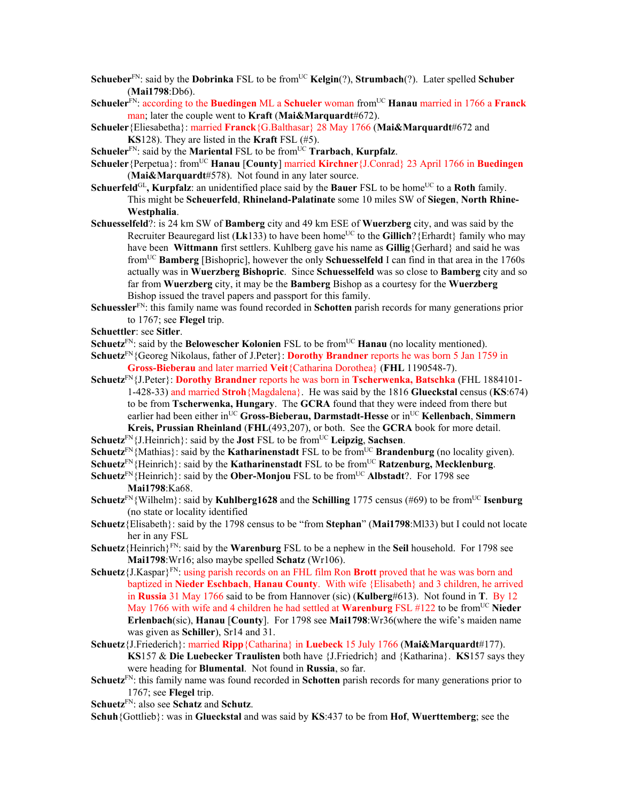- **Schueber**<sup>FN</sup>: said by the **Dobrinka** FSL to be from<sup>UC</sup> **Kelgin**(?), **Strumbach**(?). Later spelled **Schuber** (**Mai1798**:Db6).
- **Schueler**FN: according to the **Buedingen** ML a **Schueler** woman fromUC **Hanau** married in 1766 a **Franck** man; later the couple went to **Kraft** (**Mai&Marquardt**#672).
- **Schueler**{Eliesabetha}: married **Franck**{G.Balthasar} 28 May 1766 (**Mai&Marquardt**#672 and **KS**128). They are listed in the **Kraft** FSL (#5).
- **Schueler**<sup>FN</sup>: said by the **Mariental** FSL to be from<sup>UC</sup> **Trarbach**, **Kurpfalz**.
- **Schueler** {Perpetua}: from<sup>UC</sup> **Hanau** [**County**] married **Kirchner** {J.Conrad} 23 April 1766 in **Buedingen** (**Mai&Marquardt**#578). Not found in any later source.
- **Schuerfeld**GL**, Kurpfalz**: an unidentified place said by the **Bauer** FSL to be homeUC to a **Roth** family. This might be **Scheuerfeld**, **Rhineland-Palatinate** some 10 miles SW of **Siegen**, **North Rhine-Westphalia**.
- **Schuesselfeld**?: is 24 km SW of **Bamberg** city and 49 km ESE of **Wuerzberg** city, and was said by the Recruiter Beauregard list (Lk133) to have been home<sup>UC</sup> to the Gillich? {Erhardt} family who may have been **Wittmann** first settlers. Kuhlberg gave his name as **Gillig**{Gerhard} and said he was fromUC **Bamberg** [Bishopric], however the only **Schuesselfeld** I can find in that area in the 1760s actually was in **Wuerzberg Bishopric**. Since **Schuesselfeld** was so close to **Bamberg** city and so far from **Wuerzberg** city, it may be the **Bamberg** Bishop as a courtesy for the **Wuerzberg** Bishop issued the travel papers and passport for this family.
- **Schuessler**FN: this family name was found recorded in **Schotten** parish records for many generations prior to 1767; see **Flegel** trip.
- **Schuettler**: see **Sitler**.
- **Schuetz**<sup>FN</sup>: said by the **Belowescher Kolonien** FSL to be from<sup>UC</sup> **Hanau** (no locality mentioned).
- **Schuetz**FN{Georeg Nikolaus, father of J.Peter}: **Dorothy Brandner** reports he was born 5 Jan 1759 in **Gross-Bieberau** and later married **Veit**{Catharina Dorothea} (**FHL** 1190548-7).
- **Schuetz**FN{J.Peter}: **Dorothy Brandner** reports he was born in **Tscherwenka, Batschka** (FHL 1884101- 1-428-33) and married **Stroh**{Magdalena}. He was said by the 1816 **Glueckstal** census (**KS**:674) to be from **Tscherwenka, Hungary**. The **GCRA** found that they were indeed from there but earlier had been either inUC **Gross-Bieberau, Darmstadt-Hesse** or inUC **Kellenbach**, **Simmern Kreis, Prussian Rheinland** (**FHL**(493,207), or both. See the **GCRA** book for more detail.
- **Schuetz**<sup>FN</sup>{J.Heinrich}: said by the **Jost** FSL to be from<sup>UC</sup> Leipzig, Sachsen.
- **Schuetz**<sup>FN</sup>{Mathias}: said by the **Katharinenstadt** FSL to be from<sup>UC</sup> **Brandenburg** (no locality given).
- Schuetz<sup>FN</sup>{Heinrich}: said by the **Katharinenstadt** FSL to be from<sup>UC</sup> **Ratzenburg, Mecklenburg.**
- **Schuetz**<sup>FN</sup>{Heinrich}: said by the **Ober-Monjou** FSL to be from<sup>UC</sup> **Albstadt**?. For 1798 see **Mai1798**:Ka68.
- **Schuetz**<sup>FN</sup>{Wilhelm}: said by **Kuhlberg1628** and the **Schilling** 1775 census (#69) to be from<sup>UC</sup> **Isenburg** (no state or locality identified
- **Schuetz**{Elisabeth}: said by the 1798 census to be "from **Stephan**" (**Mai1798**:Ml33) but I could not locate her in any FSL
- **Schuetz**{Heinrich}FN: said by the **Warenburg** FSL to be a nephew in the **Seil** household. For 1798 see **Mai1798**:Wr16; also maybe spelled **Schatz** (Wr106).
- **Schuetz**{J.Kaspar}FN: using parish records on an FHL film Ron **Brott** proved that he was was born and baptized in **Nieder Eschbach**, **Hanau County**. With wife {Elisabeth} and 3 children, he arrived in **Russia** 31 May 1766 said to be from Hannover (sic) (**Kulberg**#613). Not found in **T**. By 12 May 1766 with wife and 4 children he had settled at **Warenburg** FSL #122 to be fromUC **Nieder Erlenbach**(sic), **Hanau** [**County**]. For 1798 see **Mai1798**:Wr36(where the wife's maiden name was given as **Schiller**), Sr14 and 31.
- **Schuetz**{J.Friederich}: married **Ripp**{Catharina} in **Luebeck** 15 July 1766 (**Mai&Marquardt**#177). **KS**157 & **Die Luebecker Traulisten** both have {J.Friedrich} and {Katharina}. **KS**157 says they were heading for **Blumental**. Not found in **Russia**, so far.
- **Schuetz**FN: this family name was found recorded in **Schotten** parish records for many generations prior to 1767; see **Flegel** trip.
- **Schuetz**FN: also see **Schatz** and **Schutz**.

**Schuh**{Gottlieb}: was in **Glueckstal** and was said by **KS**:437 to be from **Hof**, **Wuerttemberg**; see the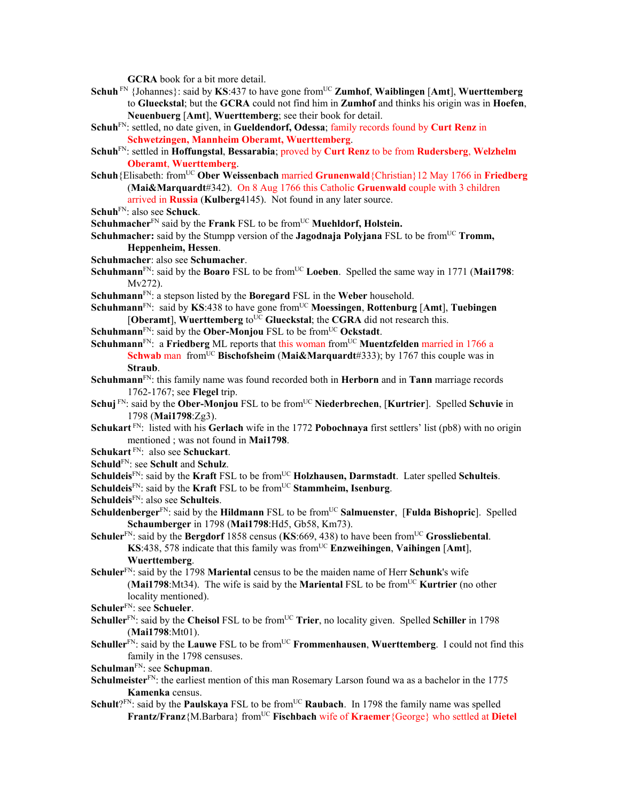**GCRA** book for a bit more detail.

- **Schuh** FN {Johannes}: said by **KS**:437 to have gone fromUC **Zumhof**, **Waiblingen** [**Amt**], **Wuerttemberg** to **Glueckstal**; but the **GCRA** could not find him in **Zumhof** and thinks his origin was in **Hoefen**, **Neuenbuerg** [**Amt**], **Wuerttemberg**; see their book for detail.
- **Schuh**FN: settled, no date given, in **Gueldendorf, Odessa**; family records found by **Curt Renz** in **Schwetzingen, Mannheim Oberamt, Wuerttemberg**.
- **Schuh**FN: settled in **Hoffungstal**, **Bessarabia**; proved by **Curt Renz** to be from **Rudersberg**, **Welzhelm Oberamt**, **Wuerttemberg**.
- **Schuh**{Elisabeth: from<sup>UC</sup> **Ober Weissenbach married Grunenwald** {Christian}12 May 1766 in **Friedberg** (**Mai&Marquardt**#342). On 8 Aug 1766 this Catholic **Gruenwald** couple with 3 children arrived in **Russia** (**Kulberg**4145). Not found in any later source.

```
SchuhFN: also see Schuck.
```
**Schuhmacher**<sup>FN</sup> said by the **Frank** FSL to be from<sup>UC</sup> **Muehldorf, Holstein.** 

- **Schuhmacher:** said by the Stumpp version of the **Jagodnaja Polyjana** FSL to be from<sup>UC</sup> **Tromm, Heppenheim, Hessen**.
- **Schuhmacher**: also see **Schumacher**.
- **Schuhmann**<sup>FN</sup>: said by the **Boaro** FSL to be from<sup>UC</sup> Loeben. Spelled the same way in 1771 (Mai1798: Mv272).
- **Schuhmann**FN: a stepson listed by the **Boregard** FSL in the **Weber** household.
- **Schuhmann**FN: said by **KS**:438 to have gone fromUC **Moessingen**, **Rottenburg** [**Amt**], **Tuebingen**  $[Oberamt]$ , **Wuerttemberg** to<sup>UC</sup> Glueckstal; the CGRA did not research this.
- **Schuhmann**<sup>FN</sup>: said by the **Ober-Monjou** FSL to be from<sup>UC</sup> **Ockstadt**.
- Schuhmann<sup>FN</sup>: a Friedberg ML reports that this woman from<sup>UC</sup> Muentzfelden married in 1766 a **Schwab** man from<sup>UC</sup> **Bischofsheim** (Mai&Marquardt#333); by 1767 this couple was in **Straub**.
- **Schuhmann**FN: this family name was found recorded both in **Herborn** and in **Tann** marriage records 1762-1767; see **Flegel** trip.
- **Schuj** FN: said by the **Ober-Monjou** FSL to be from<sup>UC</sup> Niederbrechen, [Kurtrier]. Spelled Schuvie in 1798 (**Mai1798**:Zg3).
- **Schukart** FN: listed with his **Gerlach** wife in the 1772 **Pobochnaya** first settlers' list (pb8) with no origin mentioned ; was not found in **Mai1798**.
- **Schukart** FN: also see **Schuckart**.
- **Schuld**FN: see **Schult** and **Schulz**.
- **Schuldeis**<sup>FN</sup>: said by the **Kraft** FSL to be from<sup>UC</sup> **Holzhausen, Darmstadt**. Later spelled **Schulteis**. **Schuldeis**<sup>FN</sup>: said by the **Kraft** FSL to be from<sup>UC</sup> **Stammheim, Isenburg**.
- 
- **Schuldeis**FN: also see **Schulteis**.
- **Schuldenberger**<sup>FN</sup>: said by the **Hildmann** FSL to be from<sup>UC</sup> **Salmuenster**, [**Fulda Bishopric**]. Spelled **Schaumberger** in 1798 (**Mai1798**:Hd5, Gb58, Km73).
- Schuler<sup>FN</sup>: said by the Bergdorf 1858 census (KS:669, 438) to have been from<sup>UC</sup> Grossliebental. **KS**:438, 578 indicate that this family was fromUC **Enzweihingen**, **Vaihingen** [**Amt**], **Wuerttemberg**.
- **Schuler**FN: said by the 1798 **Mariental** census to be the maiden name of Herr **Schunk**'s wife (Mai1798:Mt34). The wife is said by the Mariental FSL to be from<sup>UC</sup> Kurtrier (no other locality mentioned).
- **Schuler**FN: see **Schueler**.
- **Schuller**<sup>FN</sup>: said by the **Cheisol** FSL to be from<sup>UC</sup> **Trier**, no locality given. Spelled **Schiller** in 1798 (**Mai1798**:Mt01).
- **Schuller**<sup>FN</sup>: said by the **Lauwe** FSL to be from<sup>UC</sup> **Frommenhausen**, **Wuerttemberg**. I could not find this family in the 1798 censuses.
- **Schulman**FN: see **Schupman**.
- Schulmeister<sup>FN</sup>: the earliest mention of this man Rosemary Larson found wa as a bachelor in the 1775 **Kamenka** census.
- **Schult**?FN: said by the **Paulskaya** FSL to be from<sup>UC</sup> **Raubach**. In 1798 the family name was spelled Frantz/Franz{M.Barbara} from<sup>UC</sup> Fischbach wife of Kraemer{George} who settled at Dietel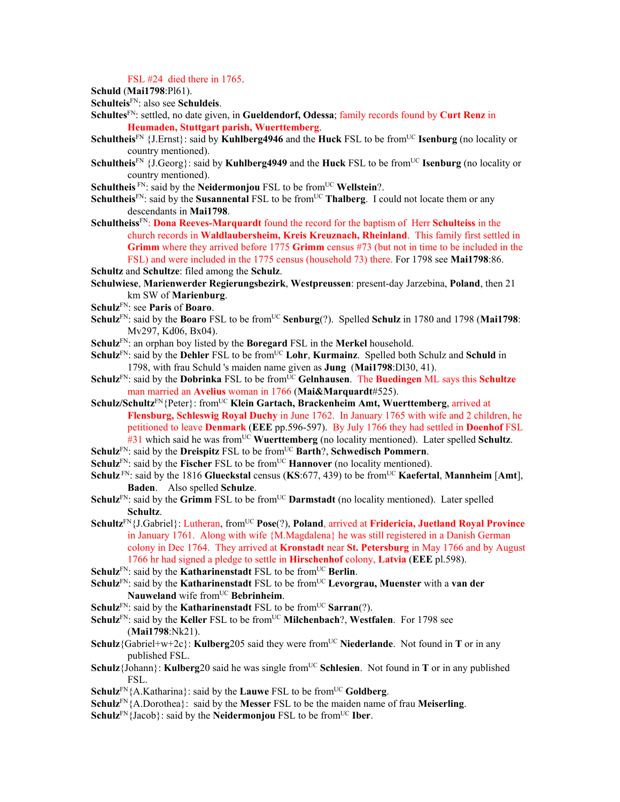FSL #24 died there in 1765.

```
Schuld (Mai1798:Pl61).
```
**Schulteis**FN: also see **Schuldeis**.

- **Schultes**FN: settled, no date given, in **Gueldendorf, Odessa**; family records found by **Curt Renz** in **Heumaden, Stuttgart parish, Wuerttemberg**.
- **Schultheis**<sup>FN</sup> {J.Ernst}: said by **Kuhlberg4946** and the **Huck** FSL to be from<sup>UC</sup> **Isenburg** (no locality or country mentioned).
- **Schultheis**<sup>FN</sup> {**J**.Georg}: said by **Kuhlberg4949** and the **Huck** FSL to be from<sup>UC</sup> **Isenburg** (no locality or country mentioned).
- **Schultheis** FN: said by the **Neidermonjou** FSL to be from<sup>UC</sup> **Wellstein**?.
- **Schultheis**<sup>FN</sup>: said by the **Susannental** FSL to be from<sup>UC</sup> **Thalberg**. I could not locate them or any descendants in **Mai1798**.
- **Schultheiss**FN: **Dona Reeves-Marquardt** found the record for the baptism of Herr **Schulteiss** in the church records in **Waldlaubersheim, Kreis Kreuznach, Rheinland**. This family first settled in **Grimm** where they arrived before 1775 **Grimm** census #73 (but not in time to be included in the FSL) and were included in the 1775 census (household 73) there. For 1798 see **Mai1798**:86.

- **Schulwiese**, **Marienwerder Regierungsbezirk**, **Westpreussen**: present-day Jarzebina, **Poland**, then 21 km SW of **Marienburg**.
- **Schulz**FN: see **Paris** of **Boaro**.
- **Schulz**<sup>FN</sup>: said by the **Boaro** FSL to be from<sup>UC</sup> **Senburg**(?). Spelled **Schulz** in 1780 and 1798 (**Mai1798**: Mv297, Kd06, Bx04).
- **Schulz**FN: an orphan boy listed by the **Boregard** FSL in the **Merkel** household.
- **Schulz**FN: said by the **Dehler** FSL to be from<sup>UC</sup> Lohr, **Kurmainz**. Spelled both Schulz and Schuld in 1798, with frau Schuld 's maiden name given as **Jung** (**Mai1798**:Dl30, 41).
- **Schulz**<sup>FN</sup>: said by the **Dobrinka** FSL to be from<sup>UC</sup> Gelnhausen. The **Buedingen** ML says this **Schultze** man married an **Avelius** woman in 1766 (**Mai&Marquardt**#525).
- **Schulz/Schultz**FN{Peter}: fromUC **Klein Gartach, Brackenheim Amt, Wuerttemberg**, arrived at **Flensburg, Schleswig Royal Duchy** in June 1762. In January 1765 with wife and 2 children, he petitioned to leave **Denmark** (**EEE** pp.596-597). By July 1766 they had settled in **Doenhof** FSL #31 which said he was from<sup>UC</sup> Wuerttemberg (no locality mentioned). Later spelled Schultz.
- **Schulz**<sup>FN</sup>: said by the **Dreispitz** FSL to be from<sup>UC</sup> **Barth**?, **Schwedisch Pommern**.
- **Schulz**<sup>FN</sup>: said by the **Fischer** FSL to be from<sup>UC</sup> **Hannover** (no locality mentioned).
- **Schulz** FN: said by the 1816 **Glueckstal** census (**KS**:677, 439) to be fromUC **Kaefertal**, **Mannheim** [**Amt**], **Baden**. Also spelled **Schulze**.
- **Schulz**FN: said by the **Grimm** FSL to be fromUC **Darmstadt** (no locality mentioned). Later spelled **Schultz**.
- **Schultz**FN{J.Gabriel}: Lutheran, fromUC **Pose**(?), **Poland**, arrived at **Fridericia, Juetland Royal Province** in January 1761. Along with wife {M.Magdalena} he was still registered in a Danish German colony in Dec 1764. They arrived at **Kronstadt** near **St. Petersburg** in May 1766 and by August 1766 hr had signed a pledge to settle in **Hirschenhof** colony, **Latvia** (**EEE** pl.598).
- **Schulz**<sup>FN</sup>: said by the **Katharinenstadt** FSL to be from<sup>UC</sup> **Berlin**.
- **Schulz**<sup>FN</sup>: said by the **Katharinenstadt** FSL to be from<sup>UC</sup> **Levorgrau, Muenster** with a **van der Nauweland** wife from<sup>UC</sup> **Bebrinheim**.
- **Schulz**<sup>FN</sup>: said by the **Katharinenstadt** FSL to be from<sup>UC</sup> **Sarran**(?).
- **Schulz**<sup>FN</sup>: said by the **Keller** FSL to be from<sup>UC</sup> **Milchenbach**?, **Westfalen**. For 1798 see (**Mai1798**:Nk21).
- **Schulz**{Gabriel+w+2c}: **Kulberg**205 said they were from<sup>UC</sup> Niederlande. Not found in **T** or in any published FSL.
- **Schulz**{Johann}: **Kulberg**20 said he was single from<sup>UC</sup> Schlesien. Not found in **T** or in any published FSL.
- **Schulz**<sup>FN</sup>{A.Katharina}: said by the **Lauwe** FSL to be from<sup>UC</sup> **Goldberg**.
- **Schulz**FN{A.Dorothea}: said by the **Messer** FSL to be the maiden name of frau **Meiserling**.
- **Schulz**<sup>FN</sup>{Jacob}: said by the **Neidermonjou** FSL to be from<sup>UC</sup> **Iber**.

**Schultz** and **Schultze**: filed among the **Schulz**.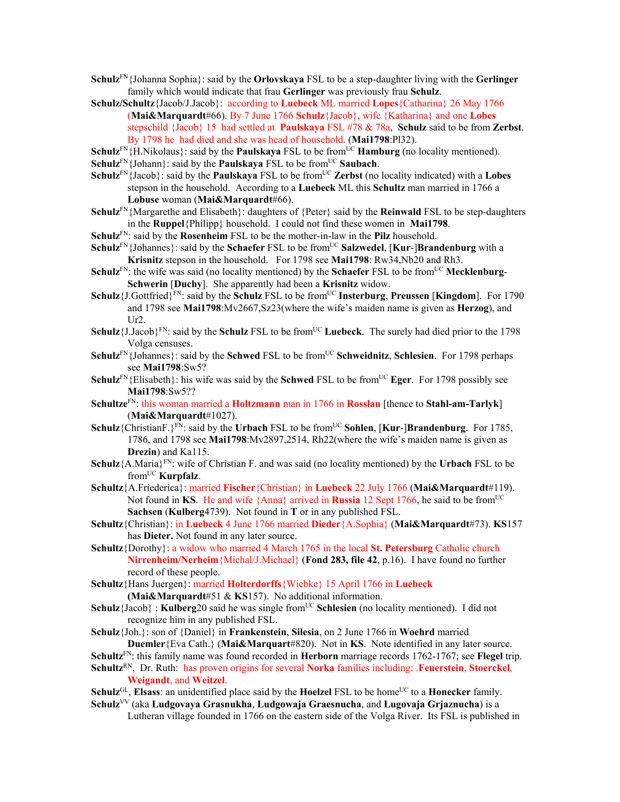- **Schulz**FN{Johanna Sophia}: said by the **Orlovskaya** FSL to be a step-daughter living with the **Gerlinger** family which would indicate that frau **Gerlinger** was previously frau **Schulz**.
- **Schulz/Schultz**{Jacob/J.Jacob}: according to **Luebeck** ML married **Lopes**{Catharina} 26 May 1766 (**Mai&Marquardt**#66). By 7 June 1766 **Schulz**{Jacob}, wife {Katharina} and one **Lobes** stepschild {Jacob} 15 had settled at **Paulskaya** FSL #78 & 78a, **Schulz** said to be from **Zerbst**. By 1798 he had died and she was head of household. (**Mai1798**:Pl32).
- **Schulz**<sup>FN</sup>{H.Nikolaus}: said by the **Paulskaya** FSL to be from<sup>UC</sup> **Hamburg** (no locality mentioned).
- $Schulz<sup>FN</sup>$ {Johann}: said by the **Paulskaya** FSL to be from<sup>UC</sup> Saubach.
- **Schulz**<sup>FN</sup>{Jacob}: said by the **Paulskaya** FSL to be from<sup>UC</sup> **Zerbst** (no locality indicated) with a **Lobes** stepson in the household. According to a **Luebeck** ML this **Schultz** man married in 1766 a **Lobuse** woman (**Mai&Marquardt**#66).
- **Schulz**FN{Margarethe and Elisabeth}: daughters of {Peter} said by the **Reinwald** FSL to be step-daughters in the **Ruppel**{Philipp} household. I could not find these women in **Mai1798**.
- **Schulz**FN: said by the **Rosenheim** FSL to be the mother-in-law in the **Pilz** household.
- **Schulz**<sup>FN</sup>{Johannes}: said by the **Schaefer** FSL to be from<sup>UC</sup> **Salzwedel**, [**Kur-]Brandenburg** with a **Krisnitz** stepson in the household. For 1798 see **Mai1798**: Rw34,Nb20 and Rh3.
- **Schulz**FN: the wife was said (no locality mentioned) by the **Schaefer** FSL to be from<sup>UC</sup> Mecklenburg-**Schwerin** [**Duchy**]. She apparently had been a **Krisnitz** widow.
- **Schulz**{J.Gottfried}<sup>FN</sup>: said by the **Schulz** FSL to be from<sup>UC</sup> **Insterburg**, **Preussen** [**Kingdom**]. For 1790 and 1798 see **Mai1798**:Mv2667,Sz23(where the wife's maiden name is given as **Herzog**), and  $Ur2$ .
- Schulz<sup>{J.Jacob}FN:</sup> said by the Schulz FSL to be from<sup>UC</sup> Luebeck. The surely had died prior to the 1798 Volga censuses.
- **Schulz**<sup>FN</sup>{Johannes}: said by the **Schwed** FSL to be from<sup>UC</sup> **Schweidnitz**, **Schlesien**. For 1798 perhaps see **Mai1798**:Sw5?
- **Schulz**<sup>FN</sup>{Elisabeth}: his wife was said by the **Schwed** FSL to be from<sup>UC</sup> **Eger**. For 1798 possibly see **Mai1798**:Sw5??
- **Schultze**FN: this woman married a **Holtzmann** man in 1766 in **Rosslau** [thence to **Stahl-am-Tarlyk**] (**Mai&Marquardt**#1027).
- **Schulz**{ChristianF.}<sup>FN</sup>: said by the **Urbach** FSL to be from<sup>UC</sup> **Sohlen**, [**Kur-**]**Brandenburg**. For 1785, 1786, and 1798 see **Mai1798**:Mv2897,2514, Rh22(where the wife's maiden name is given as **Drezin**) and Ka115.
- **Schulz**{A.Maria}FN: wife of Christian F. and was said (no locality mentioned) by the **Urbach** FSL to be fromUC **Kurpfalz**.
- **Schultz**{A.Friederica}: married **Fischer**{Christian} in **Luebeck** 22 July 1766 (**Mai&Marquardt**#119). Not found in **KS**. He and wife {Anna} arrived in **Russia** 12 Sept 1766, he said to be from<sup>UC</sup> **Sachsen** (**Kulberg**4739). Not found in **T** or in any published FSL.
- **Schultz**{Christian}: in **Luebeck** 4 June 1766 married **Dieder**{A.Sophia} (**Mai&Marquardt**#73). **KS**157 has **Dieter.** Not found in any later source.
- **Schultz**{Dorothy}: a widow who married 4 March 1765 in the local **St. Petersburg** Catholic church **Nirrenheim/Nerheim**{Michal/J.Michael} (**Fond 283, file 42**, p.16). I have found no further record of these people.
- **Schultz**{Hans Juergen}: married **Holterdorffs**{Wiebke} 15 April 1766 in **Luebeck (Mai&Marquardt**#51 & **KS**157). No additional information.
- **Schulz**{Jacob} : **Kulberg**20 said he was single from<sup>UC</sup> Schlesien (no locality mentioned). I did not recognize him in any published FSL.
- **Schulz**{Joh.}: son of {Daniel} in **Frankenstein**, **Silesia**, on 2 June 1766 in **Woehrd** married **Duemler**{Eva Cath.} (**Mai&Marquart**#820). Not in **KS**. Note identified in any later source.
- **Schultz**FN: this family name was found recorded in **Herborn** marriage records 1762-1767; see **Flegel** trip.
- **Schultz**RN, Dr. Ruth: has proven origins for several **Norka** families including: .**Feuerstein**, **Stoerckel**, **Weigandt**, and **Weitzel**.
- $Schulz<sup>GL</sup>$ , **Elsass**: an unidentified place said by the **Hoelzel** FSL to be home<sup>UC</sup> to a **Honecker** family.
- **Schulz**VV (aka **Ludgovaya Grasnukha**, **Ludgowaja Graesnucha**, and **Lugovaja Grjaznucha**) is a Lutheran village founded in 1766 on the eastern side of the Volga River. Its FSL is published in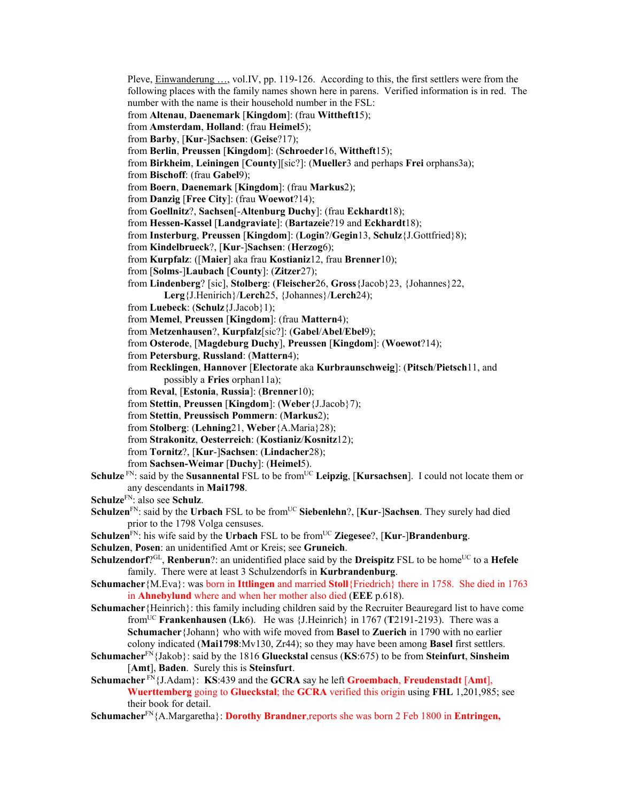Pleve, Einwanderung …, vol.IV, pp. 119-126. According to this, the first settlers were from the following places with the family names shown here in parens. Verified information is in red. The number with the name is their household number in the FSL:

- from **Altenau**, **Daenemark** [**Kingdom**]: (frau **Wittheft1**5);
- from **Amsterdam**, **Holland**: (frau **Heimel**5);
- from **Barby**, [**Kur**-]**Sachsen**: (**Geise**?17);
- from **Berlin**, **Preussen** [**Kingdom**]: (**Schroeder**16, **Wittheft**15);

from **Birkheim**, **Leiningen** [**County**][sic?]: (**Mueller**3 and perhaps **Frei** orphans3a);

from **Bischoff**: (frau **Gabel**9);

from **Boern**, **Daenemark** [**Kingdom**]: (frau **Markus**2);

from **Danzig** [**Free City**]: (frau **Woewot**?14);

- from **Goellnitz**?, **Sachsen**[-**Altenburg Duchy**]: (frau **Eckhardt**18);
- from **Hessen-Kassel** [**Landgraviate**]: (**Bartazeie**?19 and **Eckhardt**18);
- from **Insterburg**, **Preussen** [**Kingdom**]: (**Login**?/**Gegin**13, **Schulz**{J.Gottfried}8);
- from **Kindelbrueck**?, [**Kur**-]**Sachsen**: (**Herzog**6);
- from **Kurpfalz**: ([**Maier**] aka frau **Kostianiz**12, frau **Brenner**10);
- from [**Solms**-]**Laubach** [**County**]: (**Zitzer**27);

from **Lindenberg**? [sic], **Stolberg**: (**Fleischer**26, **Gross**{Jacob}23, {Johannes}22,

- **Lerg**{J.Henirich}/**Lerch**25, {Johannes}/**Lerch**24);
- from **Luebeck**: (**Schulz**{J.Jacob}1);
- from **Memel**, **Preussen** [**Kingdom**]: (frau **Mattern**4);
- from **Metzenhausen**?, **Kurpfalz**[sic?]: (**Gabel**/**Abel**/**Ebel**9);
- from **Osterode**, [**Magdeburg Duchy**], **Preussen** [**Kingdom**]: (**Woewot**?14);
- from **Petersburg**, **Russland**: (**Mattern**4);
- from **Recklingen**, **Hannover** [**Electorate** aka **Kurbraunschweig**]: (**Pitsch**/**Pietsch**11, and possibly a **Fries** orphan11a);
- from **Reval**, [**Estonia**, **Russia**]: (**Brenner**10);
- from **Stettin**, **Preussen** [**Kingdom**]: (**Weber**{J.Jacob}7);
- from **Stettin**, **Preussisch Pommern**: (**Markus**2);

from **Stolberg**: (**Lehning**21, **Weber**{A.Maria}28);

- from **Strakonitz**, **Oesterreich**: (**Kostianiz**/**Kosnitz**12);
- from **Tornitz**?, [**Kur**-]**Sachsen**: (**Lindacher**28);
- from **Sachsen-Weimar** [**Duchy**]: (**Heimel**5).
- **Schulze** FN: said by the **Susannental** FSL to be from<sup>UC</sup> Leipzig, [Kursachsen]. I could not locate them or any descendants in **Mai1798**.
- **Schulze**FN: also see **Schulz**.
- **Schulzen**<sup>FN</sup>: said by the **Urbach** FSL to be from<sup>UC</sup> Siebenlehn?, [Kur-]Sachsen. They surely had died prior to the 1798 Volga censuses.
- **Schulzen**<sup>FN</sup>: his wife said by the **Urbach** FSL to be from<sup>UC</sup> **Ziegesee**?, [**Kur-**]Brandenburg.
- **Schulzen**, **Posen**: an unidentified Amt or Kreis; see **Gruneich**.
- **Schulzendorf**?<sup>GL</sup>, **Renberun**?: an unidentified place said by the **Dreispitz** FSL to be home<sup>UC</sup> to a **Hefele** family. There were at least 3 Schulzendorfs in **Kurbrandenburg**.
- **Schumacher**{M.Eva}: was born in **Ittlingen** and married **Stoll**{Friedrich} there in 1758. She died in 1763 in **Ahnebylund** where and when her mother also died (**EEE** p.618).
- **Schumacher**{Heinrich}: this family including children said by the Recruiter Beauregard list to have come fromUC **Frankenhausen** (**Lk**6). He was {J.Heinrich} in 1767 (**T**2191-2193). There was a **Schumacher**{Johann} who with wife moved from **Basel** to **Zuerich** in 1790 with no earlier colony indicated (**Mai1798**:Mv130, Zr44); so they may have been among **Basel** first settlers.
- **Schumacher**FN{Jakob}: said by the 1816 **Glueckstal** census (**KS**:675) to be from **Steinfurt**, **Sinsheim** [**Amt**], **Baden**. Surely this is **Steinsfurt**.
- **Schumacher** FN{J.Adam}: **KS**:439 and the **GCRA** say he left **Groembach**, **Freudenstadt** [**Amt**], **Wuerttemberg** going to **Glueckstal**; the **GCRA** verified this origin using **FHL** 1,201,985; see their book for detail.
- **Schumacher**FN{A.Margaretha}: **Dorothy Brandner**,reports she was born 2 Feb 1800 in **Entringen,**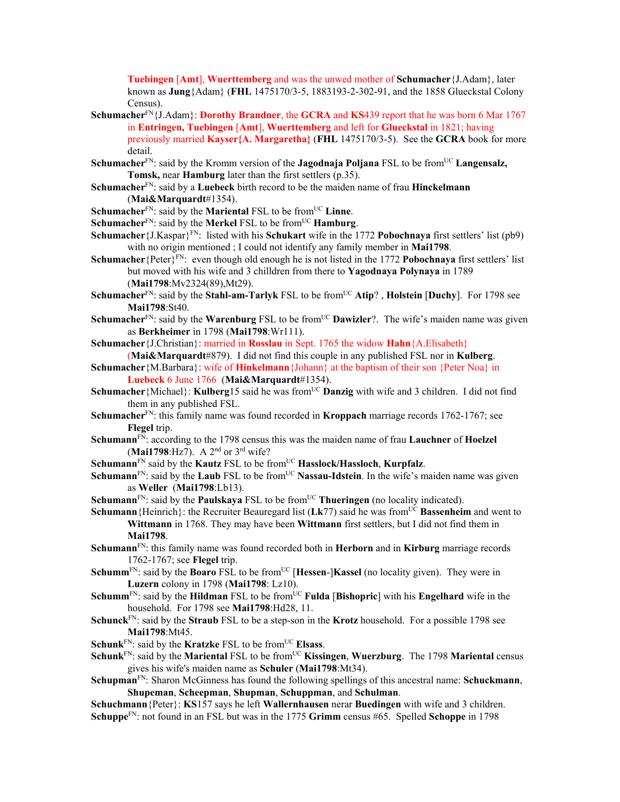**Tuebingen** [**Amt**], **Wuerttemberg** and was the unwed mother of **Schumacher**{J.Adam}, later known as **Jung**{Adam} (**FHL** 1475170/3-5, 1883193-2-302-91, and the 1858 Glueckstal Colony Census).

- **Schumacher**FN{J.Adam}: **Dorothy Brandner**, the **GCRA** and **KS**439 report that he was born 6 Mar 1767 in **Entringen, Tuebingen** [**Amt**], **Wuerttemberg** and left for **Glueckstal** in 1821; having previously married **Kayser{A. Margaretha}** (**FHL** 1475170/3-5). See the **GCRA** book for more detail.
- Schumacher<sup>FN</sup>: said by the Kromm version of the **Jagodnaja Poljana** FSL to be from<sup>UC</sup> Langensalz, **Tomsk,** near **Hamburg** later than the first settlers (p.35).
- **Schumacher**FN: said by a **Luebeck** birth record to be the maiden name of frau **Hinckelmann** (**Mai&Marquardt**#1354).
- **Schumacher**<sup>FN</sup>: said by the **Mariental** FSL to be from<sup>UC</sup> Linne.

**Schumacher**<sup>FN</sup>: said by the **Merkel** FSL to be from<sup>UC</sup> **Hamburg**.

- **Schumacher** {J.Kaspar}<sup>FN</sup>: listed with his **Schukart** wife in the 1772 **Pobochnaya** first settlers' list (pb9) with no origin mentioned ; I could not identify any family member in **Mai1798**.
- **Schumacher**{Peter}FN: even though old enough he is not listed in the 1772 **Pobochnaya** first settlers' list but moved with his wife and 3 chilldren from there to **Yagodnaya Polynaya** in 1789 (**Mai1798**:Mv2324(89),Mt29).
- **Schumacher**<sup>FN</sup>: said by the **Stahl-am-Tarlyk** FSL to be from<sup>UC</sup> Atip?, Holstein [Duchy]. For 1798 see **Mai1798**:St40.
- **Schumacher**<sup>FN</sup>: said by the **Warenburg** FSL to be from<sup>UC</sup> **Dawizler**?. The wife's maiden name was given as **Berkheimer** in 1798 (**Mai1798**:Wr111).
- **Schumacher**{J.Christian}: married in **Rosslau** in Sept. 1765 the widow **Hahn**{A.Elisabeth}
- (**Mai&Marquardt**#879). I did not find this couple in any published FSL nor in **Kulberg**. **Schumacher**{M.Barbara}: wife of **Hinkelmann**{Johann} at the baptism of their son {Peter Noa} in
	- **Luebeck** 6 June 1766 (**Mai&Marquardt**#1354).
- **Schumacher** {Michael}: **Kulberg**15 said he was from<sup>UC</sup> **Danzig** with wife and 3 children. I did not find them in any published FSL.
- **Schumacher**FN: this family name was found recorded in **Kroppach** marriage records 1762-1767; see **Flegel** trip.
- **Schumann**FN: according to the 1798 census this was the maiden name of frau **Lauchner** of **Hoelzel** (**Mai1798**:Hz7). A 2nd or 3rd wife?
- **Schumann**<sup>FN</sup> said by the **Kautz** FSL to be from<sup>UC</sup> **Hasslock/Hassloch**, **Kurpfalz**.
- **Schumann**<sup>FN</sup>: said by the **Laub** FSL to be from<sup>UC</sup> **Nassau-Idstein**. In the wife's maiden name was given as **Weller** (**Mai1798**:Lb13).
- **Schumann**<sup>FN</sup>: said by the **Paulskaya** FSL to be from<sup>UC</sup> **Thueringen** (no locality indicated).
- **Schumann**{Heinrich}: the Recruiter Beauregard list (Lk77) said he was from<sup>UC</sup> **Bassenheim** and went to **Wittmann** in 1768. They may have been **Wittmann** first settlers, but I did not find them in **Mai1798**.
- **Schumann**FN: this family name was found recorded both in **Herborn** and in **Kirburg** marriage records 1762-1767; see **Flegel** trip.
- **Schumm**<sup>FN</sup>: said by the **Boaro** FSL to be from<sup>UC</sup> [**Hessen**-]**Kassel** (no locality given). They were in **Luzern** colony in 1798 (**Mai1798**: Lz10).
- **Schumm**<sup>FN</sup>: said by the **Hildman** FSL to be from<sup>UC</sup> **Fulda** [Bishopric] with his **Engelhard** wife in the household. For 1798 see **Mai1798**:Hd28, 11.
- **Schunck**FN: said by the **Straub** FSL to be a step-son in the **Krotz** household. For a possible 1798 see **Mai1798**:Mt45.
- **Schunk**<sup>FN</sup>: said by the **Kratzke** FSL to be from<sup>UC</sup> **Elsass**.
- **Schunk**<sup>FN</sup>: said by the **Mariental** FSL to be from<sup>UC</sup> **Kissingen**, **Wuerzburg**. The 1798 **Mariental** census gives his wife's maiden name as **Schuler** (**Mai1798**:Mt34).
- **Schupman**FN: Sharon McGinness has found the following spellings of this ancestral name: **Schuckmann**, **Shupeman**, **Scheepman**, **Shupman**, **Schuppman**, and **Schulman**.
- **Schuchmann**{Peter}: **KS**157 says he left **Wallernhausen** nerar **Buedingen** with wife and 3 children. **Schuppe**FN: not found in an FSL but was in the 1775 **Grimm** census #65. Spelled **Schoppe** in 1798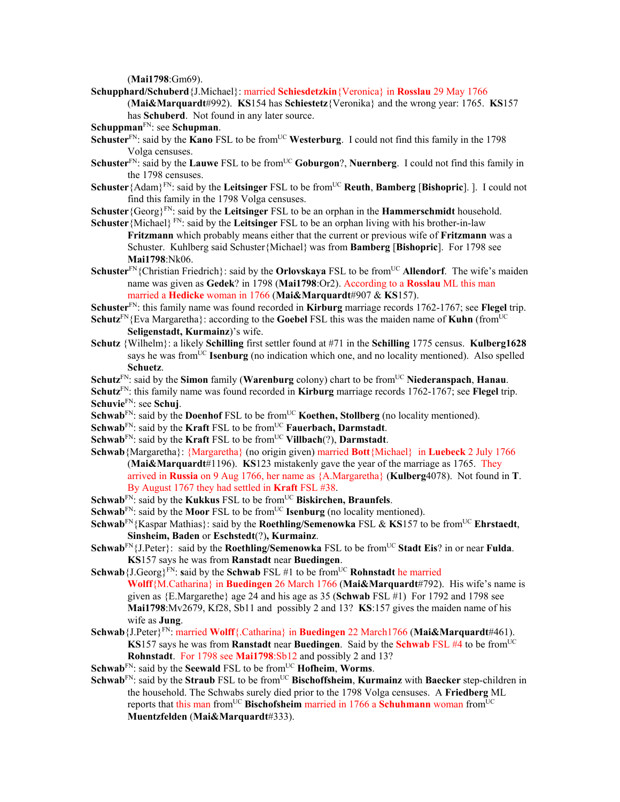(**Mai1798**:Gm69).

- **Schupphard/Schuberd**{J.Michael}: married **Schiesdetzkin**{Veronica} in **Rosslau** 29 May 1766 (**Mai&Marquardt**#992). **KS**154 has **Schiestetz**{Veronika} and the wrong year: 1765. **KS**157 has **Schuberd**. Not found in any later source.
- **Schuppman**FN: see **Schupman**.
- **Schuster**<sup>FN</sup>: said by the **Kano** FSL to be from<sup>UC</sup> Westerburg. I could not find this family in the 1798 Volga censuses.
- **Schuster**<sup>FN</sup>: said by the **Lauwe** FSL to be from<sup>UC</sup> **Goburgon**?, **Nuernberg**. I could not find this family in the 1798 censuses.
- **Schuster**{Adam}<sup>FN</sup>: said by the **Leitsinger** FSL to be from<sup>UC</sup> **Reuth**, **Bamberg** [Bishopric]. ]. I could not find this family in the 1798 Volga censuses.
- **Schuster**{Georg}FN: said by the **Leitsinger** FSL to be an orphan in the **Hammerschmidt** household.
- **Schuster**{Michael} FN: said by the **Leitsinger** FSL to be an orphan living with his brother-in-law **Fritzmann** which probably means either that the current or previous wife of **Fritzmann** was a Schuster. Kuhlberg said Schuster{Michael} was from **Bamberg** [**Bishopric**]. For 1798 see **Mai1798**:Nk06.
- **Schuster**<sup>FN</sup>{Christian Friedrich}: said by the **Orlovskaya** FSL to be from<sup>UC</sup> **Allendorf**. The wife's maiden name was given as **Gedek**? in 1798 (**Mai1798**:Or2). According to a **Rosslau** ML this man married a **Hedicke** woman in 1766 (**Mai&Marquardt**#907 & **KS**157).

**Schuster**FN: this family name was found recorded in **Kirburg** marriage records 1762-1767; see **Flegel** trip.

- **Schutz**<sup>FN</sup>{Eva Margaretha}: according to the **Goebel** FSL this was the maiden name of **Kuhn** (from<sup>UC</sup>) **Seligenstadt, Kurmainz**)'s wife.
- **Schutz** {Wilhelm}: a likely **Schilling** first settler found at #71 in the **Schilling** 1775 census. **Kulberg1628** says he was fromUC **Isenburg** (no indication which one, and no locality mentioned). Also spelled **Schuetz**.

**Schutz**<sup>FN</sup>: said by the **Simon** family (**Warenburg** colony) chart to be from<sup>UC</sup> Niederanspach, **Hanau**. **Schutz**FN: this family name was found recorded in **Kirburg** marriage records 1762-1767; see **Flegel** trip.

- **Schuvie**FN: see **Schuj**.
- **Schwab**<sup>FN</sup>: said by the **Doenhof** FSL to be from<sup>UC</sup> **Koethen, Stollberg** (no locality mentioned).
- **Schwab**<sup>FN</sup>: said by the **Kraft** FSL to be from<sup>UC</sup> **Fauerbach, Darmstadt**.
- **Schwab**<sup>FN</sup>: said by the **Kraft** FSL to be from<sup>UC</sup> **Villbach**(?), **Darmstadt**.
- **Schwab**{Margaretha}: {Margaretha} (no origin given) married **Bott**{Michael} in **Luebeck** 2 July 1766 (**Mai&Marquardt**#1196). **KS**123 mistakenly gave the year of the marriage as 1765. They arrived in **Russia** on 9 Aug 1766, her name as {A.Margaretha} (**Kulberg**4078). Not found in **T**. By August 1767 they had settled in **Kraft** FSL #38.
- **Schwab**<sup>FN</sup>: said by the **Kukkus** FSL to be from<sup>UC</sup> **Biskirchen, Braunfels**.
- **Schwab**<sup>FN</sup>: said by the **Moor** FSL to be from<sup>UC</sup> **Isenburg** (no locality mentioned).
- **Schwab**FN{Kaspar Mathias}: said by the **Roethling/Semenowka** FSL & **KS**157 to be fromUC **Ehrstaedt**, **Sinsheim, Baden** or **Eschstedt**(?)**, Kurmainz**.
- **Schwab**<sup>FN</sup>{J.Peter}: said by the **Roethling/Semenowka** FSL to be from<sup>UC</sup> **Stadt Eis**? in or near **Fulda**. **KS**157 says he was from **Ranstadt** near **Buedingen**.
- **Schwab** {J.Georg}<sup>FN</sup>: said by the **Schwab** FSL #1 to be from<sup>UC</sup> **Rohnstadt** he married **Wolff**{M.Catharina} in **Buedingen** 26 March 1766 (**Mai&Marquardt**#792). His wife's name is given as {E.Margarethe} age 24 and his age as 35 (**Schwab** FSL #1) For 1792 and 1798 see **Mai1798**:Mv2679, Kf28, Sb11 and possibly 2 and 13? **KS**:157 gives the maiden name of his wife as **Jung**.
- **Schwab**{J.Peter}FN: married **Wolff**{.Catharina} in **Buedingen** 22 March1766 (**Mai&Marquardt**#461). **KS**157 says he was from **Ranstadt** near **Buedingen**. Said by the **Schwab** FSL #4 to be from<sup>UC</sup> **Rohnstadt**. For 1798 see **Mai1798**:Sb12 and possibly 2 and 13?
- **Schwab**<sup>FN</sup>: said by the **Seewald** FSL to be from<sup>UC</sup> **Hofheim**, **Worms**.
- **Schwab**<sup>FN</sup>: said by the **Straub** FSL to be from<sup>UC</sup> Bischoffsheim, Kurmainz with Baecker step-children in the household. The Schwabs surely died prior to the 1798 Volga censuses. A **Friedberg** ML reports that this man from<sup>UC</sup> Bischofsheim married in 1766 a Schuhmann woman from<sup>UC</sup> **Muentzfelden** (**Mai&Marquardt**#333).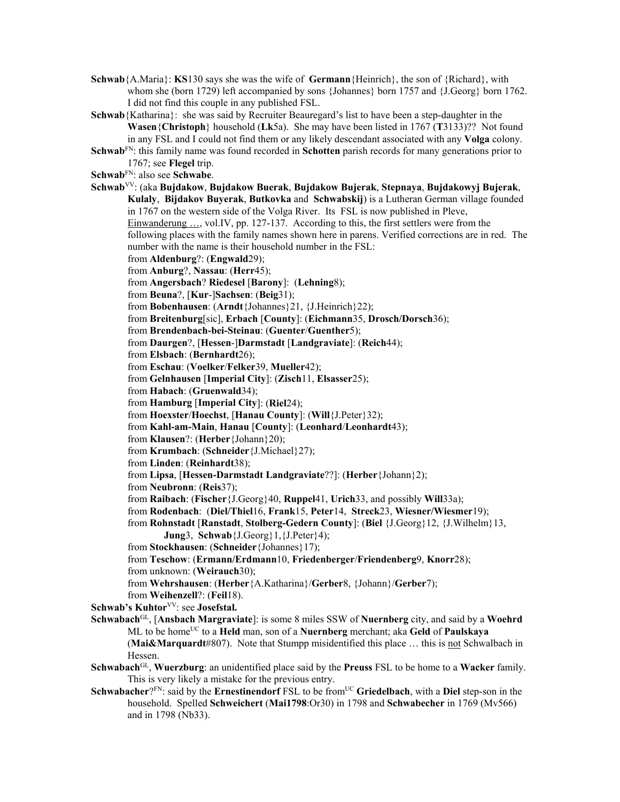**Schwab**{A.Maria}: **KS**130 says she was the wife of **Germann**{Heinrich}, the son of {Richard}, with whom she (born 1729) left accompanied by sons {Johannes} born 1757 and {J.Georg} born 1762. I did not find this couple in any published FSL.

**Schwab**{Katharina}: she was said by Recruiter Beauregard's list to have been a step-daughter in the **Wasen**{**Christoph**} household (**Lk**5a). She may have been listed in 1767 (**T**3133)?? Not found in any FSL and I could not find them or any likely descendant associated with any **Volga** colony.

**Schwab**<sup>FN</sup>: this family name was found recorded in **Schotten** parish records for many generations prior to 1767; see **Flegel** trip.

**Schwab**FN: also see **Schwabe**.

**Schwab**VV: (aka **Bujdakow**, **Bujdakow Buerak**, **Bujdakow Bujerak**, **Stepnaya**, **Bujdakowyj Bujerak**, **Kulaly**, **Bijdakov Buyerak**, **Butkovka** and **Schwabskij**) is a Lutheran German village founded in 1767 on the western side of the Volga River. Its FSL is now published in Pleve, Einwanderung …, vol.IV, pp. 127-137. According to this, the first settlers were from the following places with the family names shown here in parens. Verified corrections are in red. The number with the name is their household number in the FSL: from **Aldenburg**?: (**Engwald**29); from **Anburg**?, **Nassau**: (**Herr**45); from **Angersbach**? **Riedesel** [**Barony**]: (**Lehning**8); from **Beuna**?, [**Kur**-]**Sachsen**: (**Beig**31); from **Bobenhausen**: (**Arndt**{Johannes}21, {J.Heinrich}22); from **Breitenburg**[sic], **Erbach** [**County**]: (**Eichmann**35, **Drosch/Dorsch**36); from **Brendenbach-bei-Steinau**: (**Guenter**/**Guenther**5); from **Daurgen**?, [**Hessen**-]**Darmstadt** [**Landgraviate**]: (**Reich**44); from **Elsbach**: (**Bernhardt**26); from **Eschau**: (**Voelker**/**Felker**39, **Mueller**42); from **Gelnhausen** [**Imperial City**]: (**Zisch**11, **Elsasser**25); from **Habach**: (**Gruenwald**34); from **Hamburg** [**Imperial City**]: (**Riel**24); from **Hoexster**/**Hoechst**, [**Hanau County**]: (**Will**{J.Peter}32); from **Kahl-am-Main**, **Hanau** [**County**]: (**Leonhard**/**Leonhardt**43); from **Klausen**?: (**Herber**{Johann}20); from **Krumbach**: (**Schneider**{J.Michael}27); from **Linden**: (**Reinhardt**38); from **Lipsa**, [**Hessen-Darmstadt Landgraviate**??]: (**Herber**{Johann}2); from **Neubronn**: (**Reis**37); from **Raibach**: (**Fischer**{J.Georg}40, **Ruppel**41, **Urich**33, and possibly **Will**33a); from **Rodenbach**: (**Diel/Thiel**16, **Frank**15, **Peter**14, **Streck**23, **Wiesner/Wiesmer**19); from **Rohnstadt** [**Ranstadt**, **Stolberg-Gedern County**]: (**Biel** {J.Georg}12, {J.Wilhelm}13, **Jung**3, **Schwab**{J.Georg}1,{J.Peter}4); from **Stockhausen**: (**Schneider**{Johannes}17); from **Teschow**: (**Ermann/Erdmann**10, **Friedenberger**/**Friendenberg**9, **Knorr**28); from unknown: (**Weirauch**30); from **Wehrshausen**: (**Herber**{A.Katharina}/**Gerber**8, {Johann}/**Gerber**7); from **Weihenzell**?: (**Feil**18). **Schwab's Kuhtor**<sup>VV</sup>: see **Josefstal. Schwabach**GL, [**Ansbach Margraviate**]: is some 8 miles SSW of **Nuernberg** city, and said by a **Woehrd** ML to be homeUC to a **Held** man, son of a **Nuernberg** merchant; aka **Geld** of **Paulskaya** (**Mai&Marquardt**#807). Note that Stumpp misidentified this place … this is not Schwalbach in Hessen.

- **Schwabach**GL, **Wuerzburg**: an unidentified place said by the **Preuss** FSL to be home to a **Wacker** family. This is very likely a mistake for the previous entry.
- **Schwabacher**?<sup>FN</sup>: said by the **Ernestinendorf** FSL to be from<sup>UC</sup> Griedelbach, with a Diel step-son in the household. Spelled **Schweichert** (**Mai1798**:Or30) in 1798 and **Schwabecher** in 1769 (Mv566) and in 1798 (Nb33).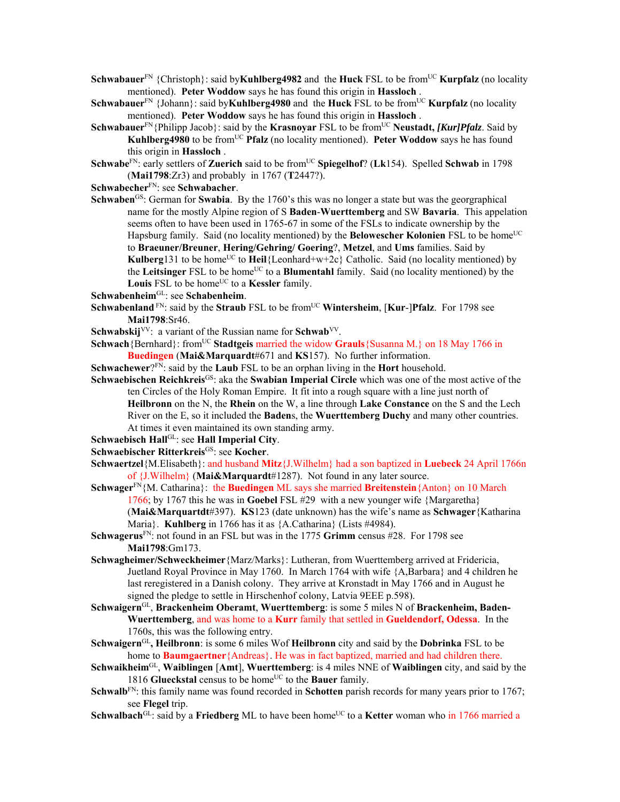**Schwabauer**<sup>FN</sup> {Christoph}: said by**Kuhlberg4982** and the **Huck** FSL to be from<sup>UC</sup> **Kurpfalz** (no locality mentioned). **Peter Woddow** says he has found this origin in **Hassloch** .

- **Schwabauer**<sup>FN</sup> {Johann}: said by**Kuhlberg4980** and the **Huck** FSL to be from<sup>UC</sup> **Kurpfalz** (no locality mentioned). **Peter Woddow** says he has found this origin in **Hassloch** .
- Schwabauer<sup>FN</sup>{Philipp Jacob}: said by the **Krasnoyar** FSL to be from<sup>UC</sup> Neustadt, *[Kur]Pfalz*. Said by **Kuhlberg4980** to be from<sup>UC</sup> **Pfalz** (no locality mentioned). **Peter Woddow** says he has found this origin in **Hassloch** .

**Schwabe**<sup>FN</sup>: early settlers of **Zuerich** said to be from<sup>UC</sup> **Spiegelhof**? (**Lk**154). Spelled **Schwab** in 1798 (**Mai1798**:Zr3) and probably in 1767 (**T**2447?).

**Schwabecher**FN: see **Schwabacher**.

**Schwaben**<sup>GS</sup>: German for **Swabia**. By the 1760's this was no longer a state but was the georgraphical name for the mostly Alpine region of S **Baden**-**Wuerttemberg** and SW **Bavaria**. This appelation seems often to have been used in 1765-67 in some of the FSLs to indicate ownership by the Hapsburg family. Said (no locality mentioned) by the **Belowescher Kolonien** FSL to be home<sup>UC</sup> to **Braeuner/Breuner**, **Hering/Gehring/ Goering**?, **Metzel**, and **Ums** families. Said by **Kulberg**131 to be home<sup>UC</sup> to **Heil**{Leonhard+w+2c} Catholic. Said (no locality mentioned) by the **Leitsinger** FSL to be home<sup>UC</sup> to a **Blumentahl** family. Said (no locality mentioned) by the Louis FSL to be home<sup>UC</sup> to a **Kessler** family.

**Schwabenheim**GL: see **Schabenheim**.

- **Schwabenland**<sup>FN</sup>: said by the **Straub** FSL to be from<sup>UC</sup> Wintersheim, [Kur-]Pfalz. For 1798 see **Mai1798**:Sr46.
- **Schwabskij**<sup>VV</sup>: a variant of the Russian name for **Schwab**<sup>VV</sup>.
- **Schwach**{Bernhard}: from<sup>UC</sup> Stadtgeis married the widow Grauls{Susanna M.} on 18 May 1766 in **Buedingen** (**Mai&Marquardt**#671 and **KS**157). No further information.

**Schwachewer**?FN: said by the **Laub** FSL to be an orphan living in the **Hort** household.

**Schwaebischen Reichkreis**<sup>GS</sup>: aka the **Swabian Imperial Circle** which was one of the most active of the ten Circles of the Holy Roman Empire. It fit into a rough square with a line just north of **Heilbronn** on the N, the **Rhein** on the W, a line through **Lake Constance** on the S and the Lech River on the E, so it included the **Baden**s, the **Wuerttemberg Duchy** and many other countries. At times it even maintained its own standing army.

**Schwaebisch Hall**GL: see **Hall Imperial City**.

**Schwaebischer Ritterkreis**GS: see **Kocher**.

- **Schwaertzel**{M.Elisabeth}: and husband **Mitz**{J.Wilhelm} had a son baptized in **Luebeck** 24 April 1766n of {J.Wilhelm} (**Mai&Marquardt**#1287). Not found in any later source.
- **Schwager**FN{M. Catharina}: the **Buedingen** ML says she married **Breitenstein**{Anton} on 10 March 1766; by 1767 this he was in **Goebel** FSL #29 with a new younger wife {Margaretha} (**Mai&Marquartdt**#397). **KS**123 (date unknown) has the wife's name as **Schwager**{Katharina Maria}. **Kuhlberg** in 1766 has it as  ${A.Catharina} (Lists #4984)$ .
- **Schwagerus**FN: not found in an FSL but was in the 1775 **Grimm** census #28. For 1798 see **Mai1798**:Gm173.
- **Schwagheimer/Schweckheimer**{Marz/Marks}: Lutheran, from Wuerttemberg arrived at Fridericia, Juetland Royal Province in May 1760. In March 1764 with wife {A,Barbara} and 4 children he last reregistered in a Danish colony. They arrive at Kronstadt in May 1766 and in August he signed the pledge to settle in Hirschenhof colony, Latvia 9EEE p.598).
- **Schwaigern**GL, **Brackenheim Oberamt**, **Wuerttemberg**: is some 5 miles N of **Brackenheim, Baden-Wuerttemberg**, and was home to a **Kurr** family that settled in **Gueldendorf, Odessa**. In the 1760s, this was the following entry.
- **Schwaigern**GL**, Heilbronn**: is some 6 miles Wof **Heilbronn** city and said by the **Dobrinka** FSL to be home to **Baumgaertner**{Andreas}. He was in fact baptized, married and had children there.
- **Schwaikheim**GL, **Waiblingen** [**Amt**], **Wuerttemberg**: is 4 miles NNE of **Waiblingen** city, and said by the 1816 Glueckstal census to be home<sup>UC</sup> to the Bauer family.
- **Schwalb**<sup>FN</sup>: this family name was found recorded in **Schotten** parish records for many years prior to 1767; see **Flegel** trip.
- **Schwalbach**<sup>GL</sup>: said by a **Friedberg** ML to have been home<sup>UC</sup> to a **Ketter** woman who in 1766 married a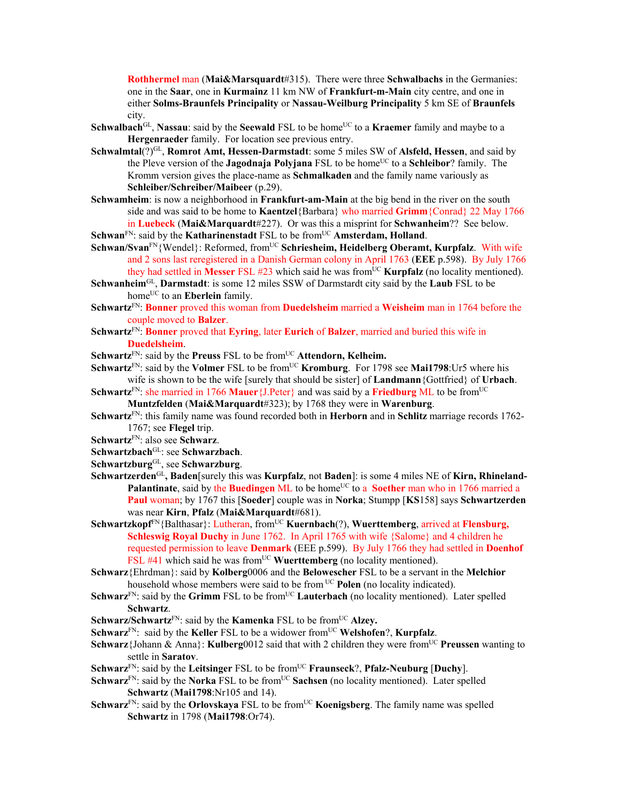**Rothhermel** man (**Mai&Marsquardt**#315). There were three **Schwalbachs** in the Germanies: one in the **Saar**, one in **Kurmainz** 11 km NW of **Frankfurt-m-Main** city centre, and one in either **Solms-Braunfels Principality** or **Nassau-Weilburg Principality** 5 km SE of **Braunfels** city.

- **Schwalbach**<sup>GL</sup>, **Nassau**: said by the **Seewald** FSL to be home<sup>UC</sup> to a **Kraemer** family and maybe to a **Hergenraeder** family. For location see previous entry.
- Schwalmtal(?)<sup>GL</sup>, **Romrot Amt, Hessen-Darmstadt**: some 5 miles SW of Alsfeld, Hessen, and said by the Pleve version of the **Jagodnaja Polyjana** FSL to be home<sup>UC</sup> to a **Schleibor**? family. The Kromm version gives the place-name as **Schmalkaden** and the family name variously as **Schleiber/Schreiber/Maibeer** (p.29).
- **Schwamheim**: is now a neighborhood in **Frankfurt-am-Main** at the big bend in the river on the south side and was said to be home to **Kaentzel**{Barbara} who married **Grimm**{Conrad} 22 May 1766 in **Luebeck** (**Mai&Marquardt**#227). Or was this a misprint for **Schwanheim**?? See below.

**Schwan**<sup>FN</sup>: said by the **Katharinenstadt** FSL to be from<sup>UC</sup> **Amsterdam, Holland**.

- Schwan/Svan<sup>FN</sup>{Wendel}: Reformed, from<sup>UC</sup> Schriesheim, Heidelberg Oberamt, Kurpfalz. With wife and 2 sons last reregistered in a Danish German colony in April 1763 (**EEE** p.598). By July 1766 they had settled in **Messer** FSL  $\#23$  which said he was from<sup>UC</sup> **Kurpfalz** (no locality mentioned).
- **Schwanheim**GL, **Darmstadt**: is some 12 miles SSW of Darmstardt city said by the **Laub** FSL to be home<sup>UC</sup> to an **Eberlein** family.
- **Schwartz**FN: **Bonner** proved this woman from **Duedelsheim** married a **Weisheim** man in 1764 before the couple moved to **Balzer**.
- **Schwartz**FN: **Bonner** proved that **Eyring**, later **Eurich** of **Balzer**, married and buried this wife in **Duedelsheim**.

**Schwartz**<sup>FN</sup>: said by the **Preuss** FSL to be from<sup>UC</sup> **Attendorn, Kelheim.** 

- Schwartz<sup>FN</sup>: said by the **Volmer** FSL to be from<sup>UC</sup> **Kromburg**. For 1798 see Mai1798:Ur5 where his wife is shown to be the wife [surely that should be sister] of **Landmann**{Gottfried} of **Urbach**.
- **Schwartz**<sup>FN</sup>: she married in 1766 **Mauer**{J.Peter} and was said by a **Friedburg** ML to be from<sup>UC</sup> **Muntzfelden** (**Mai&Marquardt**#323); by 1768 they were in **Warenburg**.
- **Schwartz**FN: this family name was found recorded both in **Herborn** and in **Schlitz** marriage records 1762- 1767; see **Flegel** trip.
- **Schwartz**FN: also see **Schwarz**.
- **Schwartzbach**GL: see **Schwarzbach**.
- **Schwartzburg**GL, see **Schwarzburg**.
- **Schwartzerden**GL**, Baden**[surely this was **Kurpfalz**, not **Baden**]: is some 4 miles NE of **Kirn, Rhineland-Palantinate**, said by the **Buedingen** ML to be home<sup>UC</sup> to a **Soether** man who in 1766 married a **Paul** woman; by 1767 this [**Soeder**] couple was in **Norka**; Stumpp [**KS**158] says **Schwartzerden** was near **Kirn**, **Pfalz** (**Mai&Marquardt**#681).
- Schwartzkopf<sup>FN</sup>{Balthasar}: Lutheran, from<sup>UC</sup> **Kuernbach**(?), Wuerttemberg, arrived at **Flensburg**, **Schleswig Royal Duchy** in June 1762. In April 1765 with wife {Salome} and 4 children he requested permission to leave **Denmark** (EEE p.599). By July 1766 they had settled in **Doenhof** FSL  $#41$  which said he was from<sup>UC</sup> **Wuerttemberg** (no locality mentioned).
- **Schwarz**{Ehrdman}: said by **Kolberg**0006 and the **Belowescher** FSL to be a servant in the **Melchior** household whose members were said to be from UC **Polen** (no locality indicated).
- **Schwarz**<sup>FN</sup>: said by the **Grimm** FSL to be from<sup>UC</sup> **Lauterbach** (no locality mentioned). Later spelled **Schwartz**.
- **Schwarz/Schwartz**<sup>FN</sup>: said by the **Kamenka** FSL to be from<sup>UC</sup> Alzey.
- **Schwarz**<sup>FN</sup>: said by the **Keller** FSL to be a widower from<sup>UC</sup> **Welshofen**?, **Kurpfalz**.
- **Schwarz**{Johann & Anna}: **Kulberg**0012 said that with 2 children they were from<sup>UC</sup> Preussen wanting to settle in **Saratov**.
- **Schwarz**FN: said by the **Leitsinger** FSL to be fromUC **Fraunseck**?, **Pfalz-Neuburg** [**Duchy**].
- **Schwarz**<sup>FN</sup>: said by the **Norka** FSL to be from<sup>UC</sup> Sachsen (no locality mentioned). Later spelled **Schwartz** (**Mai1798**:Nr105 and 14).
- **Schwarz**<sup>FN</sup>: said by the **Orlovskaya** FSL to be from<sup>UC</sup> **Koenigsberg**. The family name was spelled **Schwartz** in 1798 (**Mai1798**:Or74).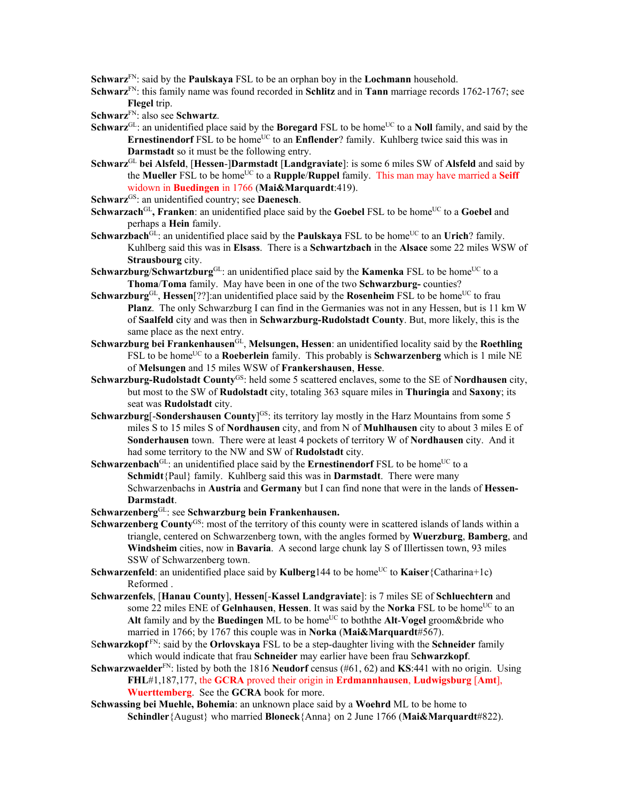**Schwarz**FN: said by the **Paulskaya** FSL to be an orphan boy in the **Lochmann** household.

- **Schwarz**FN: this family name was found recorded in **Schlitz** and in **Tann** marriage records 1762-1767; see **Flegel** trip.
- **Schwarz**FN: also see **Schwartz**.
- **Schwarz**<sup>GL</sup>: an unidentified place said by the **Boregard** FSL to be home<sup>UC</sup> to a **Noll** family, and said by the **Ernestinendorf** FSL to be home<sup>UC</sup> to an **Enflender**? family. Kuhlberg twice said this was in **Darmstadt** so it must be the following entry.
- **Schwarz**GL **bei Alsfeld**, [**Hessen**-]**Darmstadt** [**Landgraviate**]: is some 6 miles SW of **Alsfeld** and said by the **Mueller** FSL to be home<sup>UC</sup> to a **Rupple/Ruppel** family. This man may have married a **Seiff** widown in **Buedingen** in 1766 (**Mai&Marquardt**:419).
- Schwarz<sup>GS</sup>: an unidentified country; see **Daenesch**.
- **Schwarzach**<sup>GL</sup>, Franken: an unidentified place said by the Goebel FSL to be home<sup>UC</sup> to a Goebel and perhaps a **Hein** family.
- **Schwarzbach**<sup>GL</sup>: an unidentified place said by the **Paulskaya** FSL to be home<sup>UC</sup> to an **Urich**? family. Kuhlberg said this was in **Elsass**. There is a **Schwartzbach** in the **Alsace** some 22 miles WSW of **Strausbourg** city.
- **Schwarzburg/Schwartzburg**<sup>GL</sup>: an unidentified place said by the **Kamenka** FSL to be home<sup>UC</sup> to a **Thoma**/**Toma** family. May have been in one of the two **Schwarzburg-** counties?
- **Schwarzburg**<sup>GL</sup>, **Hessen**[??]:an unidentified place said by the **Rosenheim** FSL to be home<sup>UC</sup> to frau **Planz**. The only Schwarzburg I can find in the Germanies was not in any Hessen, but is 11 km W of **Saalfeld** city and was then in **Schwarzburg-Rudolstadt County**. But, more likely, this is the same place as the next entry.
- **Schwarzburg bei Frankenhausen**GL, **Melsungen, Hessen**: an unidentified locality said by the **Roethling** FSL to be home<sup>UC</sup> to a **Roeberlein** family. This probably is **Schwarzenberg** which is 1 mile NE of **Melsungen** and 15 miles WSW of **Frankershausen**, **Hesse**.
- **Schwarzburg-Rudolstadt County**GS: held some 5 scattered enclaves, some to the SE of **Nordhausen** city, but most to the SW of **Rudolstadt** city, totaling 363 square miles in **Thuringia** and **Saxony**; its seat was **Rudolstadt** city.
- **Schwarzburg**[-**Sondershausen County**]<sup>GS</sup>: its territory lay mostly in the Harz Mountains from some 5 miles S to 15 miles S of **Nordhausen** city, and from N of **Muhlhausen** city to about 3 miles E of **Sonderhausen** town. There were at least 4 pockets of territory W of **Nordhausen** city. And it had some territory to the NW and SW of **Rudolstadt** city.
- **Schwarzenbach**<sup>GL</sup>: an unidentified place said by the **Ernestinendorf** FSL to be home<sup>UC</sup> to a **Schmidt**{Paul} family. Kuhlberg said this was in **Darmstadt**. There were many Schwarzenbachs in **Austria** and **Germany** but I can find none that were in the lands of **Hessen-Darmstadt**.
- **Schwarzenberg**GL: see **Schwarzburg bein Frankenhausen.**
- Schwarzenberg County<sup>GS</sup>: most of the territory of this county were in scattered islands of lands within a triangle, centered on Schwarzenberg town, with the angles formed by **Wuerzburg**, **Bamberg**, and **Windsheim** cities, now in **Bavaria**. A second large chunk lay S of Illertissen town, 93 miles SSW of Schwarzenberg town.
- **Schwarzenfeld**: an unidentified place said by **Kulberg**144 to be home<sup>UC</sup> to **Kaiser**{Catharina+1c) Reformed .
- **Schwarzenfels**, [**Hanau County**], **Hessen**[-**Kassel Landgraviate**]: is 7 miles SE of **Schluechtern** and some 22 miles ENE of **Gelnhausen**, **Hessen**. It was said by the **Norka** FSL to be home<sup>UC</sup> to an Alt family and by the Buedingen ML to be home<sup>UC</sup> to boththe Alt-Vogel groom&bride who married in 1766; by 1767 this couple was in **Norka** (**Mai&Marquardt**#567).
- S**chwarzkopf** FN: said by the **Orlovskaya** FSL to be a step-daughter living with the **Schneider** family which would indicate that frau **Schneider** may earlier have been frau S**chwarzkopf**.
- **Schwarzwaelder**FN: listed by both the 1816 **Neudorf** census (#61, 62) and **KS**:441 with no origin. Using **FHL**#1,187,177, the **GCRA** proved their origin in **Erdmannhausen**, **Ludwigsburg** [**Amt**], **Wuerttemberg**. See the **GCRA** book for more.
- **Schwassing bei Muehle, Bohemia**: an unknown place said by a **Woehrd** ML to be home to **Schindler**{August} who married **Bloneck**{Anna} on 2 June 1766 (**Mai&Marquardt**#822).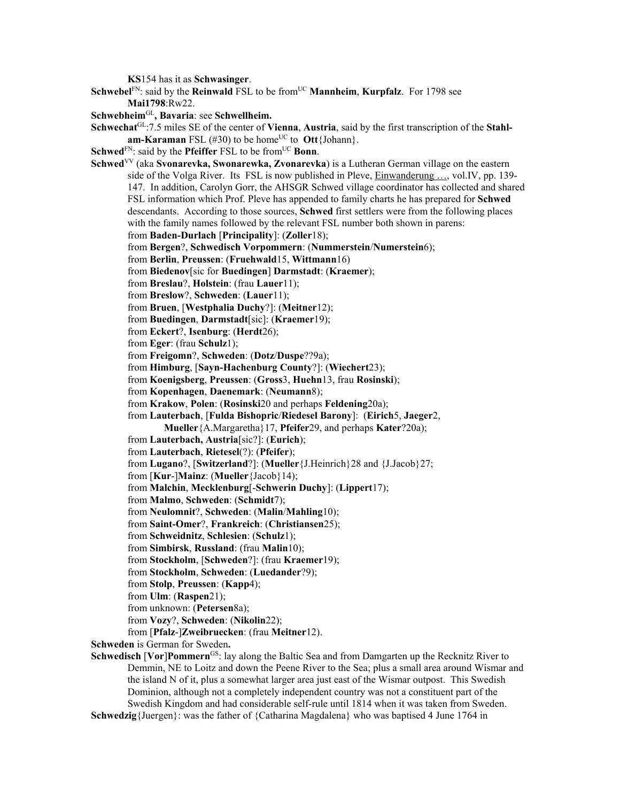**KS**154 has it as **Schwasinger**.

**Schwebel**<sup>FN</sup>: said by the **Reinwald** FSL to be from<sup>UC</sup> **Mannheim**, **Kurpfalz**. For 1798 see **Mai1798**:Rw22.

**Schwebheim**GL**, Bavaria**: see **Schwellheim.**

Schwechat<sup>GL</sup>:7.5 miles SE of the center of **Vienna**, Austria, said by the first transcription of the Stahl $am-Karaman FSL$  (#30) to be home<sup>UC</sup> to  $Out{John}$ .

**Schwed**<sup>FN</sup>: said by the **Pfeiffer** FSL to be from<sup>UC</sup> **Bonn**.

**Schwed**VV (aka **Svonarevka, Swonarewka, Zvonarevka**) is a Lutheran German village on the eastern side of the Volga River. Its FSL is now published in Pleve, Einwanderung …, vol.IV, pp. 139- 147. In addition, Carolyn Gorr, the AHSGR Schwed village coordinator has collected and shared FSL information which Prof. Pleve has appended to family charts he has prepared for **Schwed** descendants. According to those sources, **Schwed** first settlers were from the following places with the family names followed by the relevant FSL number both shown in parens: from **Baden-Durlach** [**Principality**]: (**Zoller**18); from **Bergen**?, **Schwedisch Vorpommern**: (**Nummerstein**/**Numerstein**6);

from **Berlin**, **Preussen**: (**Fruehwald**15, **Wittmann**16)

from **Biedenov**[sic for **Buedingen**] **Darmstadt**: (**Kraemer**);

from **Breslau**?, **Holstein**: (frau **Lauer**11);

from **Breslow**?, **Schweden**: (**Lauer**11);

from **Bruen**, [**Westphalia Duchy**?]: (**Meitner**12);

from **Buedingen**, **Darmstadt**[sic]: (**Kraemer**19);

from **Eckert**?, **Isenburg**: (**Herdt**26);

from **Eger**: (frau **Schulz**1);

from **Freigomn**?, **Schweden**: (**Dotz**/**Duspe**??9a);

from **Himburg**, [**Sayn-Hachenburg County**?]: (**Wiechert**23);

from **Koenigsberg**, **Preussen**: (**Gross**3, **Huehn**13, frau **Rosinski**);

from **Kopenhagen**, **Daenemark**: (**Neumann**8);

from **Krakow**, **Polen**: (**Rosinski**20 and perhaps **Feldening**20a);

from **Lauterbach**, [**Fulda Bishopric**/**Riedesel Barony**]: (**Eirich**5, **Jaeger**2,

**Mueller**{A.Margaretha}17, **Pfeifer**29, and perhaps **Kater**?20a);

from **Lauterbach, Austria**[sic?]: (**Eurich**);

from **Lauterbach**, **Rietesel**(?): (**Pfeifer**);

from **Lugano**?, [**Switzerland**?]: (**Mueller**{J.Heinrich}28 and {J.Jacob}27;

from [**Kur**-]**Mainz**: (**Mueller**{Jacob}14);

from **Malchin**, **Mecklenburg**[-**Schwerin Duchy**]: (**Lippert**17);

from **Malmo**, **Schweden**: (**Schmidt**7);

from **Neulomnit**?, **Schweden**: (**Malin**/**Mahling**10);

from **Saint-Omer**?, **Frankreich**: (**Christiansen**25);

from **Schweidnitz**, **Schlesien**: (**Schulz**1);

from **Simbirsk**, **Russland**: (frau **Malin**10);

from **Stockholm**, [**Schweden**?]: (frau **Kraemer**19);

from **Stockholm**, **Schweden**: (**Luedander**?9);

from **Stolp**, **Preussen**: (**Kapp**4);

from **Ulm**: (**Raspen**21);

from unknown: (**Petersen**8a);

from **Vozy**?, **Schweden**: (**Nikolin**22);

from [**Pfalz**-]**Zweibruecken**: (frau **Meitner**12).

**Schweden** is German for Sweden**.** 

**Schwedisch** [**Vor**]**Pommern**GS: lay along the Baltic Sea and from Damgarten up the Recknitz River to Demmin, NE to Loitz and down the Peene River to the Sea; plus a small area around Wismar and the island N of it, plus a somewhat larger area just east of the Wismar outpost. This Swedish Dominion, although not a completely independent country was not a constituent part of the Swedish Kingdom and had considerable self-rule until 1814 when it was taken from Sweden.

**Schwedzig**{Juergen}: was the father of {Catharina Magdalena} who was baptised 4 June 1764 in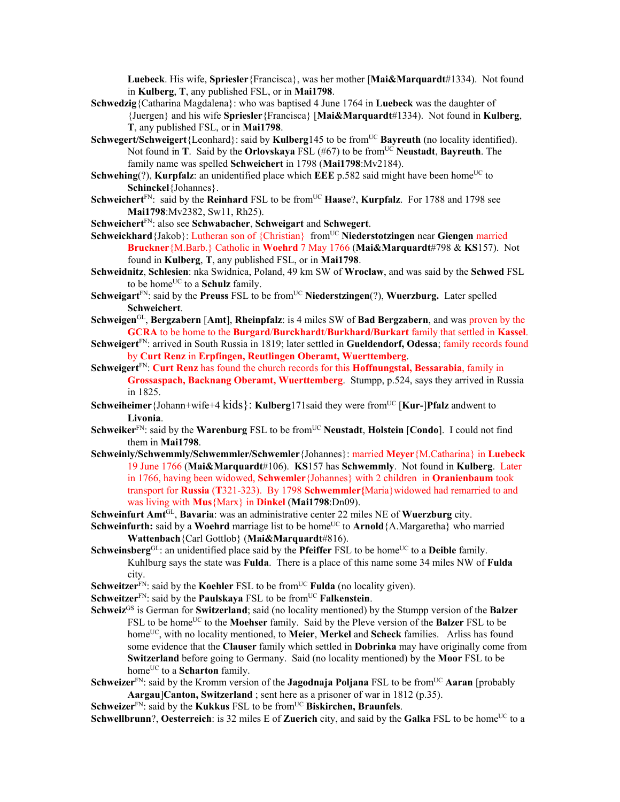**Luebeck**. His wife, **Spriesler**{Francisca}, was her mother [**Mai&Marquardt**#1334). Not found in **Kulberg**, **T**, any published FSL, or in **Mai1798**.

- **Schwedzig**{Catharina Magdalena}: who was baptised 4 June 1764 in **Luebeck** was the daughter of {Juergen} and his wife **Spriesler**{Francisca} [**Mai&Marquardt**#1334). Not found in **Kulberg**, **T**, any published FSL, or in **Mai1798**.
- **Schwegert/Schweigert**{Leonhard}: said by **Kulberg**145 to be from<sup>UC</sup> **Bayreuth** (no locality identified). Not found in **T**. Said by the **Orlovskaya** FSL (#67) to be from<sup>UC</sup> **Neustadt**, **Bayreuth**. The family name was spelled **Schweichert** in 1798 (**Mai1798**:Mv2184).
- **Schwehing**(?), **Kurpfalz**: an unidentified place which **EEE** p.582 said might have been home<sup>UC</sup> to **Schinckel**{Johannes}.
- **Schweichert**FN: said by the **Reinhard** FSL to be fromUC **Haase**?, **Kurpfalz**. For 1788 and 1798 see **Mai1798**:Mv2382, Sw11, Rh25).
- **Schweichert**FN: also see **Schwabacher**, **Schweigart** and **Schwegert**.
- **Schweickhard**{Jakob}: Lutheran son of {Christian} fromUC **Niederstotzingen** near **Giengen** married **Bruckner**{M.Barb.} Catholic in **Woehrd** 7 May 1766 (**Mai&Marquardt**#798 & **KS**157). Not found in **Kulberg**, **T**, any published FSL, or in **Mai1798**.
- **Schweidnitz**, **Schlesien**: nka Swidnica, Poland, 49 km SW of **Wroclaw**, and was said by the **Schwed** FSL to be home<sup>UC</sup> to a **Schulz** family.
- **Schweigart**<sup>FN</sup>: said by the **Preuss** FSL to be from<sup>UC</sup> **Niederstzingen**(?), **Wuerzburg.** Later spelled **Schweichert**.
- **Schweigen**GL, **Bergzabern** [**Amt**], **Rheinpfalz**: is 4 miles SW of **Bad Bergzabern**, and was proven by the **GCRA** to be home to the **Burgard**/**Burckhardt**/**Burkhard/Burkart** family that settled in **Kassel**.
- **Schweigert**<sup>FN</sup>: arrived in South Russia in 1819; later settled in **Gueldendorf, Odessa**; family records found by **Curt Renz** in **Erpfingen, Reutlingen Oberamt, Wuerttemberg**.
- **Schweigert**FN: **Curt Renz** has found the church records for this **Hoffnungstal, Bessarabia**, family in **Grossaspach, Backnang Oberamt, Wuerttemberg**. Stumpp, p.524, says they arrived in Russia in 1825.
- **Schweiheimer**{Johann+wife+4 kids}: **Kulberg**171said they were fromUC [**Kur-**]**Pfalz** andwent to **Livonia**.
- **Schweiker**<sup>FN</sup>: said by the **Warenburg** FSL to be from<sup>UC</sup> **Neustadt**, **Holstein** [Condo]. I could not find them in **Mai1798**.
- **Schweinly/Schwemmly/Schwemmler/Schwemler**{Johannes}: married **Meyer**{M.Catharina} in **Luebeck**  19 June 1766 (**Mai&Marquardt**#106). **KS**157 has **Schwemmly**. Not found in **Kulberg**. Later in 1766, having been widowed, **Schwemler**{Johannes} with 2 children in **Oranienbaum** took transport for **Russia** (**T**321-323). By 1798 **Schwemmler{**Maria}widowed had remarried to and was living with **Mus**{Marx} in **Dinkel** (**Mai1798**:Dn09).
- **Schweinfurt Amt**GL, **Bavaria**: was an administrative center 22 miles NE of **Wuerzburg** city.
- **Schweinfurth:** said by a **Woehrd** marriage list to be home<sup>UC</sup> to **Arnold**{A.Margaretha} who married **Wattenbach**{Carl Gottlob} (**Mai&Marquardt**#816).
- **Schweinsberg**<sup>GL</sup>: an unidentified place said by the **Pfeiffer** FSL to be home<sup>UC</sup> to a **Deible** family. Kuhlburg says the state was **Fulda**. There is a place of this name some 34 miles NW of **Fulda** city.
- **Schweitzer**<sup>FN</sup>: said by the **Koehler** FSL to be from<sup>UC</sup> **Fulda** (no locality given).
- **Schweitzer**<sup>FN</sup>: said by the **Paulskaya** FSL to be from<sup>UC</sup> **Falkenstein**.
- **Schweiz**GS is German for **Switzerland**; said (no locality mentioned) by the Stumpp version of the **Balzer** FSL to be homeUC to the **Moehser** family. Said by the Pleve version of the **Balzer** FSL to be home<sup>UC</sup>, with no locality mentioned, to **Meier**, **Merkel** and **Scheck** families. Arliss has found some evidence that the **Clauser** family which settled in **Dobrinka** may have originally come from **Switzerland** before going to Germany. Said (no locality mentioned) by the **Moor** FSL to be home<sup>UC</sup> to a **Scharton** family.
- **Schweizer**FN: said by the Kromm version of the **Jagodnaja Poljana** FSL to be fromUC **Aaran** [probably **Aargau**]**Canton, Switzerland** ; sent here as a prisoner of war in 1812 (p.35).

**Schweizer**<sup>FN</sup>: said by the **Kukkus** FSL to be from<sup>UC</sup> Biskirchen, Braunfels.

**Schwellbrunn**?, **Oesterreich**: is 32 miles E of **Zuerich** city, and said by the **Galka** FSL to be home<sup>UC</sup> to a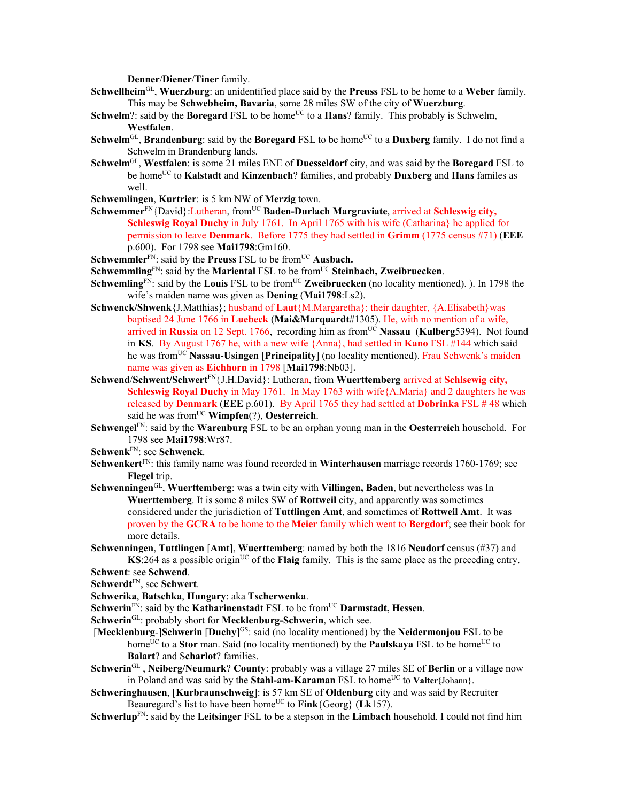**Denner**/**Diener**/**Tiner** family.

- **Schwellheim**GL, **Wuerzburg**: an unidentified place said by the **Preuss** FSL to be home to a **Weber** family. This may be **Schwebheim, Bavaria**, some 28 miles SW of the city of **Wuerzburg**.
- **Schwelm**?: said by the **Boregard** FSL to be home<sup>UC</sup> to a **Hans**? family. This probably is Schwelm, **Westfalen**.
- **Schwelm**<sup>GL</sup>, **Brandenburg**: said by the **Boregard** FSL to be home<sup>UC</sup> to a **Duxberg** family. I do not find a Schwelm in Brandenburg lands.
- **Schwelm**GL, **Westfalen**: is some 21 miles ENE of **Duesseldorf** city, and was said by the **Boregard** FSL to be homeUC to **Kalstadt** and **Kinzenbach**? families, and probably **Duxberg** and **Hans** familes as well.
- **Schwemlingen**, **Kurtrier**: is 5 km NW of **Merzig** town.
- Schwemmer<sup>FN</sup>{David}:Lutheran, from<sup>UC</sup> **Baden-Durlach Margraviate**, arrived at **Schleswig city, Schleswig Royal Duchy** in July 1761. In April 1765 with his wife (Catharina) he applied for permission to leave **Denmark**. Before 1775 they had settled in **Grimm** (1775 census #71) (**EEE** p.600). For 1798 see **Mai1798**:Gm160.
- **Schwemmler**<sup>FN</sup>: said by the **Preuss** FSL to be from<sup>UC</sup> **Ausbach.**
- **Schwemmling**<sup>FN</sup>: said by the **Mariental** FSL to be from<sup>UC</sup> Steinbach, Zweibruecken.
- **Schwemling**<sup>FN</sup>: said by the **Louis** FSL to be from<sup>UC</sup> **Zweibruecken** (no locality mentioned). ). In 1798 the wife's maiden name was given as **Dening** (**Mai1798**:Ls2).
- **Schwenck/Shwenk**{J.Matthias}; husband of **Laut**{M.Margaretha}; their daughter, {A.Elisabeth}was baptised 24 June 1766 in **Luebeck** (**Mai&Marquardt**#1305). He, with no mention of a wife, arrived in **Russia** on 12 Sept. 1766, recording him as from<sup>UC</sup> **Nassau** (**Kulberg**5394). Not found in **KS**. By August 1767 he, with a new wife {Anna}, had settled in **Kano** FSL #144 which said he was fromUC **Nassau**-**Usingen** [**Principality**] (no locality mentioned). Frau Schwenk's maiden name was given as **Eichhorn** in 1798 [**Mai1798**:Nb03].
- **Schwend**/**Schwent/Schwert**FN{J.H.David}: Lutheran, from **Wuerttemberg** arrived at **Schlsewig city, Schleswig Royal Duchy** in May 1761. In May 1763 with wife{A.Maria} and 2 daughters he was released by **Denmark** (**EEE** p.601). By April 1765 they had settled at **Dobrinka** FSL # 48 which said he was fromUC **Wimpfen**(?), **Oesterreich**.
- **Schwengel**FN: said by the **Warenburg** FSL to be an orphan young man in the **Oesterreich** household. For 1798 see **Mai1798**:Wr87.
- **Schwenk**FN: see **Schwenck**.
- **Schwenkert**FN: this family name was found recorded in **Winterhausen** marriage records 1760-1769; see **Flegel** trip.
- **Schwenningen**GL, **Wuerttemberg**: was a twin city with **Villingen, Baden**, but nevertheless was In **Wuerttemberg**. It is some 8 miles SW of **Rottweil** city, and apparently was sometimes considered under the jurisdiction of **Tuttlingen Amt**, and sometimes of **Rottweil Amt**. It was proven by the **GCRA** to be home to the **Meier** family which went to **Bergdorf**; see their book for more details.
- **Schwenningen**, **Tuttlingen** [**Amt**], **Wuerttemberg**: named by both the 1816 **Neudorf** census (#37) and  $\mathbf{K}$ S:264 as a possible origin<sup>UC</sup> of the **Flaig** family. This is the same place as the preceding entry. **Schwent**: see **Schwend**.
- **Schwerdt**FN, see **Schwert**.
- **Schwerika**, **Batschka**, **Hungary**: aka **Tscherwenka**.
- **Schwerin**<sup>FN</sup>: said by the **Katharinenstadt** FSL to be from<sup>UC</sup> **Darmstadt**, **Hessen**.
- **Schwerin**<sup>GL</sup>: probably short for **Mecklenburg-Schwerin**, which see.
- **[Mecklenburg-]Schwerin [Duchy**<sup>]GS</sup>: said (no locality mentioned) by the **Neidermonjou** FSL to be home<sup>UC</sup> to a **Stor** man. Said (no locality mentioned) by the **Paulskaya** FSL to be home<sup>UC</sup> to **Balart**? and S**charlot**? families.
- **Schwerin**GL , **Neiberg/Neumark**? **County**: probably was a village 27 miles SE of **Berlin** or a village now in Poland and was said by the **Stahl-am-Karaman** FSL to home<sup>UC</sup> to **Valter**{Johann}.
- **Schweringhausen**, [**Kurbraunschweig**]: is 57 km SE of **Oldenburg** city and was said by Recruiter Beauregard's list to have been home<sup>UC</sup> to  $\text{Fink}$ {Georg} (Lk157).
- **Schwerlup**FN: said by the **Leitsinger** FSL to be a stepson in the **Limbach** household. I could not find him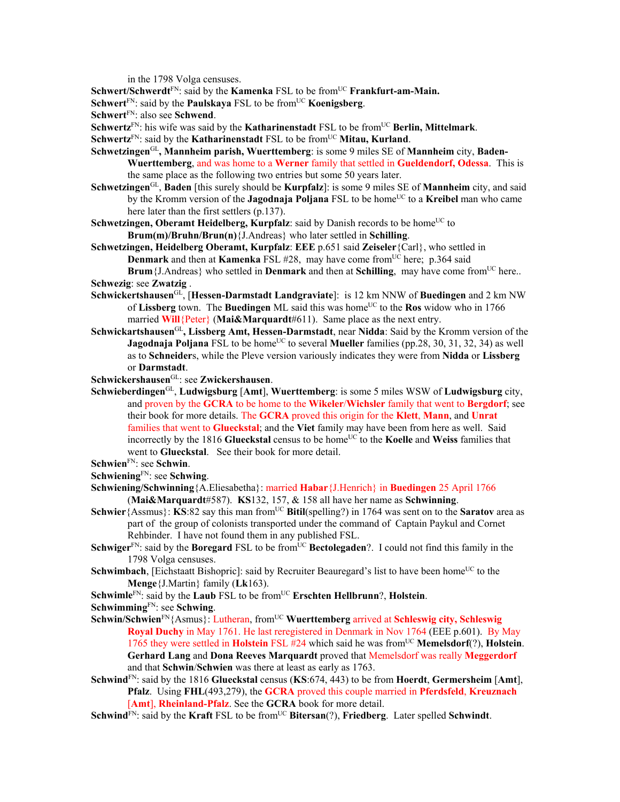in the 1798 Volga censuses.

**Schwert/Schwerdt<sup>FN</sup>: said by the <b>Kamenka** FSL to be from<sup>UC</sup> **Frankfurt-am-Main.** 

- **Schwert**<sup>FN</sup>: said by the **Paulskaya** FSL to be from<sup>UC</sup> **Koenigsberg**.
- **Schwert**FN: also see **Schwend**.

**Schwertz**<sup>FN</sup>: his wife was said by the **Katharinenstadt** FSL to be from<sup>UC</sup> Berlin, Mittelmark.

- **Schwertz**<sup>FN</sup>: said by the **Katharinenstadt** FSL to be from<sup>UC</sup> **Mitau, Kurland**.
- **Schwetzingen**GL**, Mannheim parish, Wuerttemberg**: is some 9 miles SE of **Mannheim** city, **Baden-Wuerttemberg**, and was home to a **Werner** family that settled in **Gueldendorf, Odessa**. This is the same place as the following two entries but some 50 years later.
- **Schwetzingen**GL, **Baden** [this surely should be **Kurpfalz**]: is some 9 miles SE of **Mannheim** city, and said by the Kromm version of the **Jagodnaja Poljana** FSL to be home<sup>UC</sup> to a **Kreibel** man who came here later than the first settlers (p.137).
- **Schwetzingen, Oberamt Heidelberg, Kurpfalz**: said by Danish records to be home<sup>UC</sup> to **Brum(m)/Bruhn/Brun(n)**{J.Andreas} who later settled in **Schilling**.
- **Schwetzingen, Heidelberg Oberamt, Kurpfalz**: **EEE** p.651 said **Zeiseler**{Carl}, who settled in **Denmark** and then at **Kamenka** FSL  $#28$ , may have come from<sup>UC</sup> here; p.364 said **Brum** ${J.Andreas}$  who settled in **Denmark** and then at **Schilling**, may have come from<sup>UC</sup> here..

**Schwezig**: see **Zwatzig** .

- **Schwickertshausen**GL, [**Hessen-Darmstadt Landgraviate**]: is 12 km NNW of **Buedingen** and 2 km NW of **Lissberg** town. The **Buedingen** ML said this was home<sup>UC</sup> to the **Ros** widow who in 1766 married **Will**{Peter} (Mai&Marquardt#611). Same place as the next entry.
- **Schwickartshausen**GL**, Lissberg Amt, Hessen-Darmstadt**, near **Nidda**: Said by the Kromm version of the **Jagodnaja Poljana** FSL to be home<sup>UC</sup> to several **Mueller** families (pp.28, 30, 31, 32, 34) as well as to **Schneider**s, while the Pleve version variously indicates they were from **Nidda** or **Lissberg** or **Darmstadt**.

**Schwickershausen**GL: see **Zwickershausen**.

- **Schwieberdingen**GL, **Ludwigsburg** [**Amt**], **Wuerttemberg**: is some 5 miles WSW of **Ludwigsburg** city, and proven by the **GCRA** to be home to the **Wikeler**/**Wichsler** family that went to **Bergdorf**; see their book for more details. The **GCRA** proved this origin for the **Klett**, **Mann**, and **Unrat**  families that went to **Glueckstal**; and the **Viet** family may have been from here as well. Said incorrectly by the 1816 **Glueckstal** census to be home<sup>UC</sup> to the **Koelle** and **Weiss** families that went to **Glueckstal**. See their book for more detail.
- **Schwien**FN: see **Schwin**.
- **Schwiening**FN: see **Schwing**.
- **Schwiening/Schwinning**{A.Eliesabetha}: married **Habar**{J.Henrich} in **Buedingen** 25 April 1766 (**Mai&Marquardt**#587). **KS**132, 157, & 158 all have her name as **Schwinning**.
- **Schwier** { Assmus }: **KS**:82 say this man from<sup>UC</sup> **Bitil**(spelling?) in 1764 was sent on to the **Saratov** area as part of the group of colonists transported under the command of Captain Paykul and Cornet Rehbinder. I have not found them in any published FSL.
- **Schwiger**<sup>FN</sup>: said by the **Boregard** FSL to be from<sup>UC</sup> **Bectolegaden**?. I could not find this family in the 1798 Volga censuses.
- **Schwimbach**, [Eichstaatt Bishopric]: said by Recruiter Beauregard's list to have been home<sup>UC</sup> to the **Menge**{J.Martin} family (**Lk**163).
- **Schwimle**<sup>FN</sup>: said by the **Laub** FSL to be from<sup>UC</sup> **Erschten Hellbrunn**?, **Holstein**.
- **Schwimming**FN: see **Schwing**.
- **Schwin/Schwien**<sup>FN</sup>{Asmus}: Lutheran, from<sup>UC</sup> **Wuerttemberg** arrived at **Schleswig city, Schleswig Royal Duchy** in May 1761. He last reregistered in Denmark in Nov 1764 (EEE p.601). By May 1765 they were settled in **Holstein** FSL #24 which said he was fromUC **Memelsdorf**(?), **Holstein**. **Gerhard Lang** and **Dona Reeves Marquardt** proved that Memelsdorf was really **Meggerdorf** and that **Schwin**/**Schwien** was there at least as early as 1763.
- **Schwind**FN: said by the 1816 **Glueckstal** census (**KS**:674, 443) to be from **Hoerdt**, **Germersheim** [**Amt**], **Pfalz**. Using **FHL**(493,279), the **GCRA** proved this couple married in **Pferdsfeld**, **Kreuznach** [**Amt**], **Rheinland-Pfalz**. See the **GCRA** book for more detail.
- **Schwind**<sup>FN</sup>: said by the **Kraft** FSL to be from<sup>UC</sup> **Bitersan**(?), **Friedberg**. Later spelled **Schwindt**.